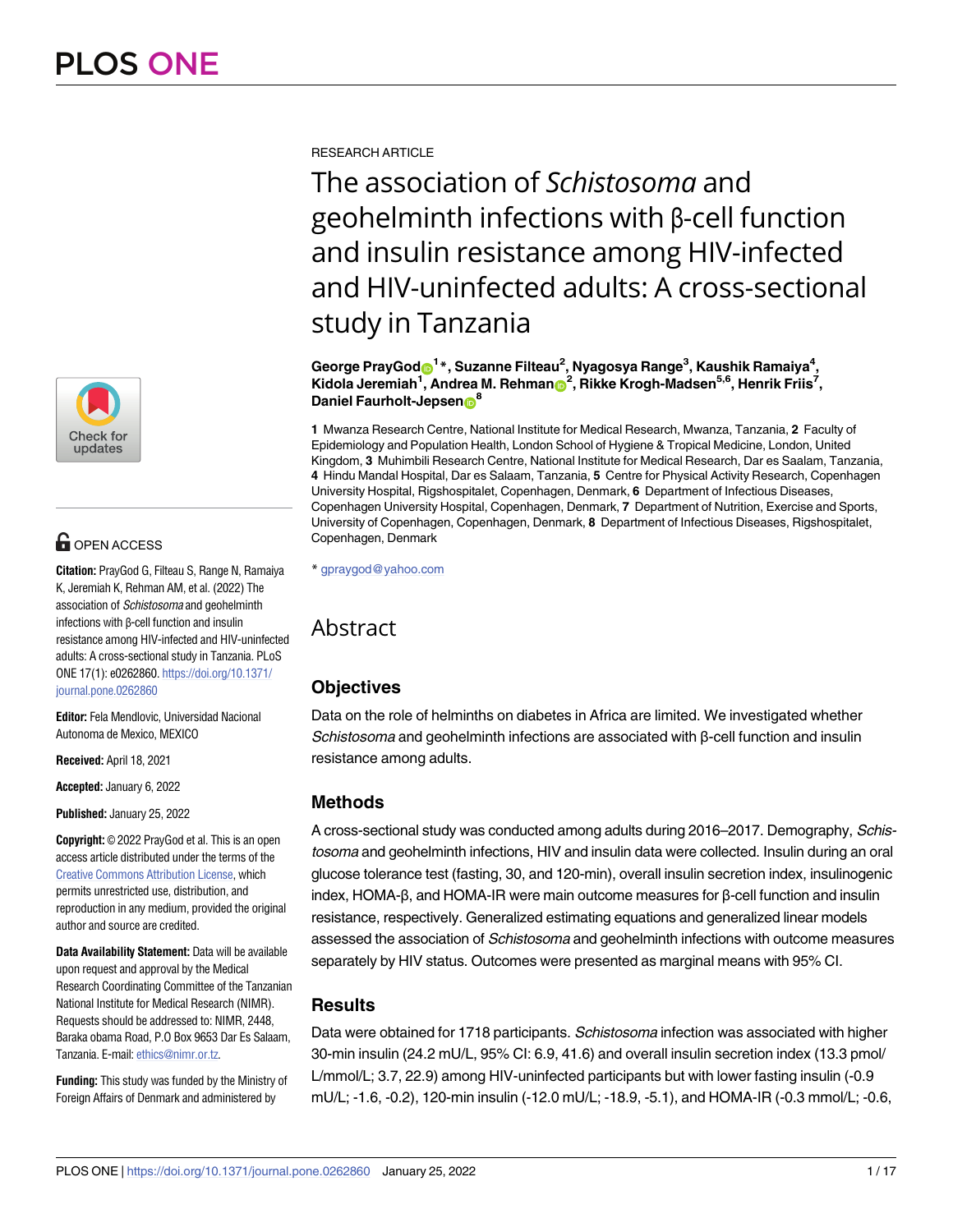

# **OPEN ACCESS**

**Citation:** PrayGod G, Filteau S, Range N, Ramaiya K, Jeremiah K, Rehman AM, et al. (2022) The association of Schistosoma and geohelminth infections with β-cell function and insulin resistance among HIV-infected and HIV-uninfected adults: A cross-sectional study in Tanzania. PLoS ONE 17(1): e0262860. [https://doi.org/10.1371/](https://doi.org/10.1371/journal.pone.0262860) [journal.pone.0262860](https://doi.org/10.1371/journal.pone.0262860)

**Editor:** Fela Mendlovic, Universidad Nacional Autonoma de Mexico, MEXICO

**Received:** April 18, 2021

**Accepted:** January 6, 2022

**Published:** January 25, 2022

**Copyright:** © 2022 PrayGod et al. This is an open access article distributed under the terms of the Creative Commons [Attribution](http://creativecommons.org/licenses/by/4.0/) License, which permits unrestricted use, distribution, and reproduction in any medium, provided the original author and source are credited.

**Data Availability Statement:** Data will be available upon request and approval by the Medical Research Coordinating Committee of the Tanzanian National Institute for Medical Research (NIMR). Requests should be addressed to: NIMR, 2448, Baraka obama Road, P.O Box 9653 Dar Es Salaam, Tanzania. E-mail: [ethics@nimr.or.tz](mailto:ethics@nimr.or.tz).

**Funding:** This study was funded by the Ministry of Foreign Affairs of Denmark and administered by

RESEARCH ARTICLE

The association of *Schistosoma* and geohelminth infections with β-cell function and insulin resistance among HIV-infected and HIV-uninfected adults: A cross-sectional study in Tanzania

 $\bf G$ eorge Pray $\bf G$ od $\bf \Theta^1*$ , Suzanne Filteau $^2$ , Nyagosya Range $^3$ , Kaushik Ramaiya $^4$ ,  $K$ idola Jeremiah<sup>1</sup>, Andrea M. Rehman $\mathbf{D}^2$ , Rikke Krogh-Madsen<sup>5,6</sup>, Henrik Friis<sup>7</sup>, **Daniel Faurholt-Jepsen**<sup>8</sup>

**1** Mwanza Research Centre, National Institute for Medical Research, Mwanza, Tanzania, **2** Faculty of Epidemiology and Population Health, London School of Hygiene & Tropical Medicine, London, United Kingdom, **3** Muhimbili Research Centre, National Institute for Medical Research, Dar es Saalam, Tanzania, **4** Hindu Mandal Hospital, Dar es Salaam, Tanzania, **5** Centre for Physical Activity Research, Copenhagen University Hospital, Rigshospitalet, Copenhagen, Denmark, **6** Department of Infectious Diseases, Copenhagen University Hospital, Copenhagen, Denmark, **7** Department of Nutrition, Exercise and Sports, University of Copenhagen, Copenhagen, Denmark, **8** Department of Infectious Diseases, Rigshospitalet, Copenhagen, Denmark

\* gpraygod@yahoo.com

# Abstract

# **Objectives**

Data on the role of helminths on diabetes in Africa are limited. We investigated whether Schistosoma and geohelminth infections are associated with β-cell function and insulin resistance among adults.

# **Methods**

A cross-sectional study was conducted among adults during 2016–2017. Demography, Schistosoma and geohelminth infections, HIV and insulin data were collected. Insulin during an oral glucose tolerance test (fasting, 30, and 120-min), overall insulin secretion index, insulinogenic index, HOMA-β, and HOMA-IR were main outcome measures for β-cell function and insulin resistance, respectively. Generalized estimating equations and generalized linear models assessed the association of Schistosoma and geohelminth infections with outcome measures separately by HIV status. Outcomes were presented as marginal means with 95% CI.

# **Results**

Data were obtained for 1718 participants. Schistosoma infection was associated with higher 30-min insulin (24.2 mU/L, 95% CI: 6.9, 41.6) and overall insulin secretion index (13.3 pmol/ L/mmol/L; 3.7, 22.9) among HIV-uninfected participants but with lower fasting insulin (-0.9 mU/L; -1.6, -0.2), 120-min insulin (-12.0 mU/L; -18.9, -5.1), and HOMA-IR (-0.3 mmol/L; -0.6,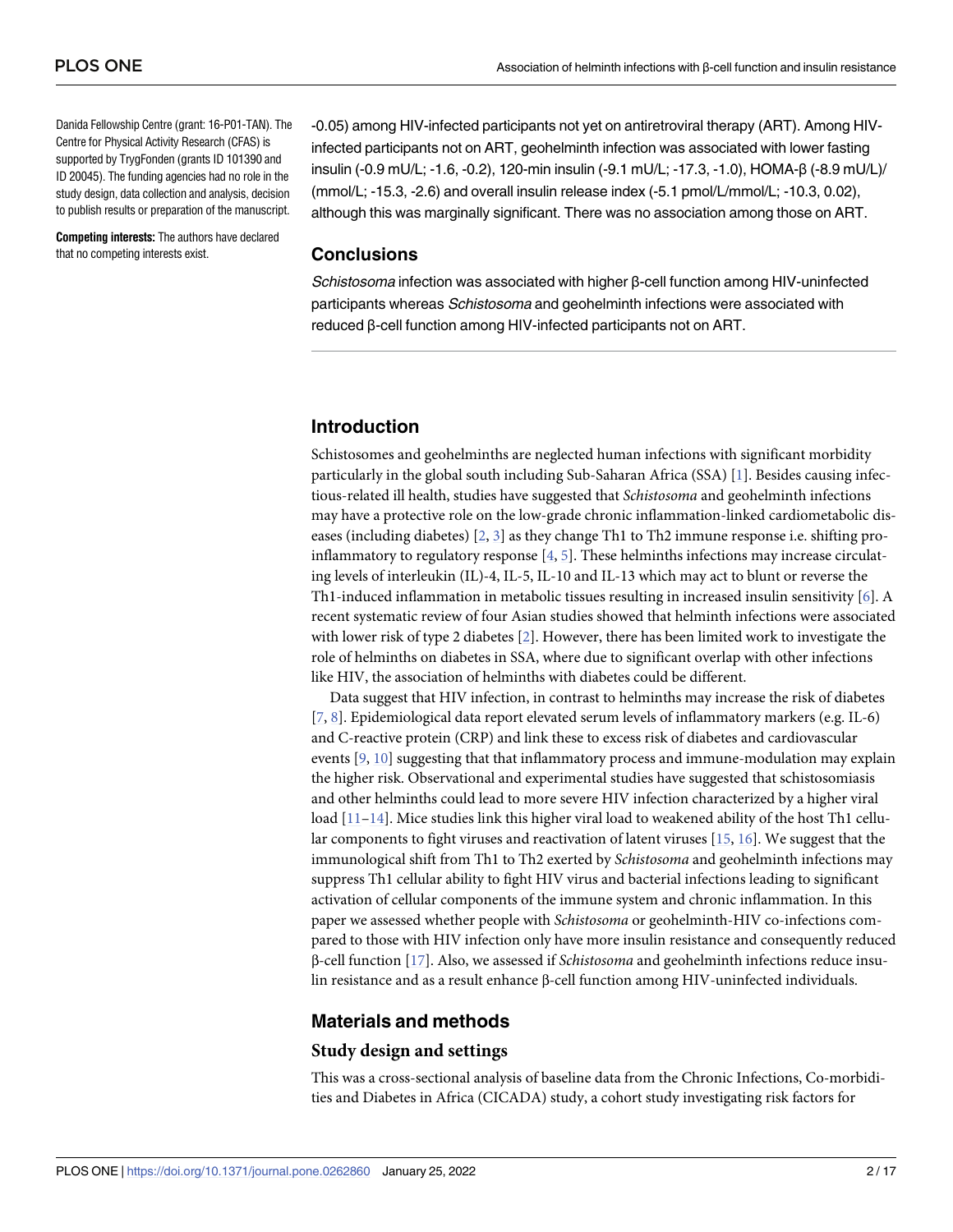<span id="page-1-0"></span>Danida Fellowship Centre (grant: 16-P01-TAN). The Centre for Physical Activity Research (CFAS) is supported by TrygFonden (grants ID 101390 and ID 20045). The funding agencies had no role in the study design, data collection and analysis, decision to publish results or preparation of the manuscript.

**Competing interests:** The authors have declared that no competing interests exist.

-0.05) among HIV-infected participants not yet on antiretroviral therapy (ART). Among HIVinfected participants not on ART, geohelminth infection was associated with lower fasting insulin (-0.9 mU/L; -1.6, -0.2), 120-min insulin (-9.1 mU/L; -17.3, -1.0), HOMA-β (-8.9 mU/L)/ (mmol/L; -15.3, -2.6) and overall insulin release index (-5.1 pmol/L/mmol/L; -10.3, 0.02), although this was marginally significant. There was no association among those on ART.

## **Conclusions**

Schistosoma infection was associated with higher β-cell function among HIV-uninfected participants whereas Schistosoma and geohelminth infections were associated with reduced β-cell function among HIV-infected participants not on ART.

## **Introduction**

Schistosomes and geohelminths are neglected human infections with significant morbidity particularly in the global south including Sub-Saharan Africa (SSA) [[1\]](#page-14-0). Besides causing infectious-related ill health, studies have suggested that *Schistosoma* and geohelminth infections may have a protective role on the low-grade chronic inflammation-linked cardiometabolic diseases (including diabetes)  $[2, 3]$  $[2, 3]$  $[2, 3]$  $[2, 3]$  as they change Th1 to Th2 immune response i.e. shifting proinflammatory to regulatory response [\[4](#page-14-0), [5](#page-14-0)]. These helminths infections may increase circulating levels of interleukin (IL)-4, IL-5, IL-10 and IL-13 which may act to blunt or reverse the Th1-induced inflammation in metabolic tissues resulting in increased insulin sensitivity [\[6](#page-14-0)]. A recent systematic review of four Asian studies showed that helminth infections were associated with lower risk of type 2 diabetes [[2\]](#page-14-0). However, there has been limited work to investigate the role of helminths on diabetes in SSA, where due to significant overlap with other infections like HIV, the association of helminths with diabetes could be different.

Data suggest that HIV infection, in contrast to helminths may increase the risk of diabetes [\[7](#page-14-0), [8](#page-14-0)]. Epidemiological data report elevated serum levels of inflammatory markers (e.g. IL-6) and C-reactive protein (CRP) and link these to excess risk of diabetes and cardiovascular events [[9](#page-14-0), [10](#page-14-0)] suggesting that that inflammatory process and immune-modulation may explain the higher risk. Observational and experimental studies have suggested that schistosomiasis and other helminths could lead to more severe HIV infection characterized by a higher viral load  $[11-14]$  $[11-14]$  $[11-14]$ . Mice studies link this higher viral load to weakened ability of the host Th1 cellular components to fight viruses and reactivation of latent viruses  $[15, 16]$  $[15, 16]$  $[15, 16]$ . We suggest that the immunological shift from Th1 to Th2 exerted by *Schistosoma* and geohelminth infections may suppress Th1 cellular ability to fight HIV virus and bacterial infections leading to significant activation of cellular components of the immune system and chronic inflammation. In this paper we assessed whether people with *Schistosoma* or geohelminth-HIV co-infections compared to those with HIV infection only have more insulin resistance and consequently reduced β-cell function [[17](#page-15-0)]. Also, we assessed if *Schistosoma* and geohelminth infections reduce insulin resistance and as a result enhance β-cell function among HIV-uninfected individuals.

### **Materials and methods**

#### **Study design and settings**

This was a cross-sectional analysis of baseline data from the Chronic Infections, Co-morbidities and Diabetes in Africa (CICADA) study, a cohort study investigating risk factors for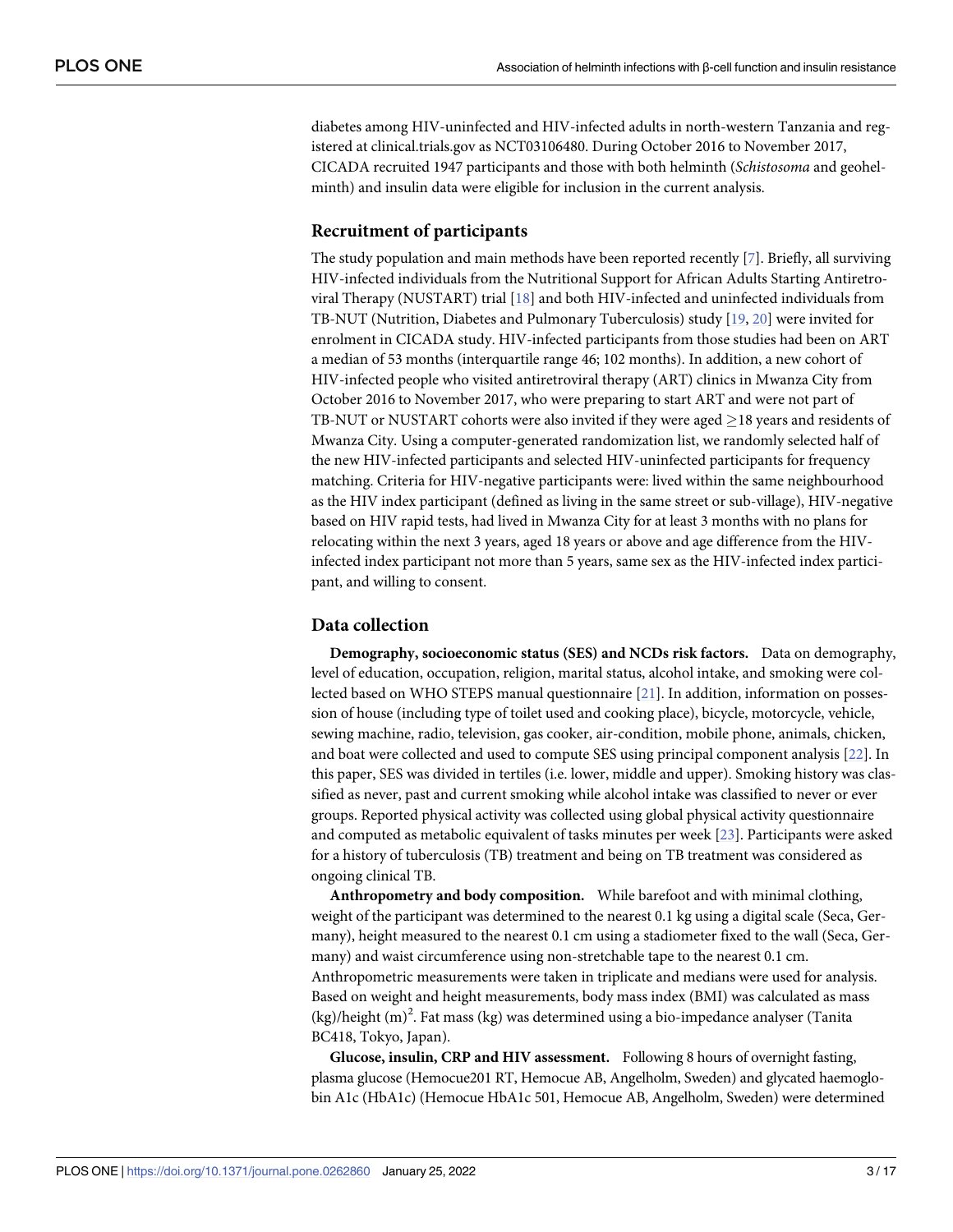<span id="page-2-0"></span>diabetes among HIV-uninfected and HIV-infected adults in north-western Tanzania and registered at clinical.trials.gov as NCT03106480. During October 2016 to November 2017, CICADA recruited 1947 participants and those with both helminth (*Schistosoma* and geohelminth) and insulin data were eligible for inclusion in the current analysis.

## **Recruitment of participants**

The study population and main methods have been reported recently [[7](#page-14-0)]. Briefly, all surviving HIV-infected individuals from the Nutritional Support for African Adults Starting Antiretroviral Therapy (NUSTART) trial [\[18\]](#page-15-0) and both HIV-infected and uninfected individuals from TB-NUT (Nutrition, Diabetes and Pulmonary Tuberculosis) study [[19](#page-15-0), [20](#page-15-0)] were invited for enrolment in CICADA study. HIV-infected participants from those studies had been on ART a median of 53 months (interquartile range 46; 102 months). In addition, a new cohort of HIV-infected people who visited antiretroviral therapy (ART) clinics in Mwanza City from October 2016 to November 2017, who were preparing to start ART and were not part of TB-NUT or NUSTART cohorts were also invited if they were aged  $\geq$  18 years and residents of Mwanza City. Using a computer-generated randomization list, we randomly selected half of the new HIV-infected participants and selected HIV-uninfected participants for frequency matching. Criteria for HIV-negative participants were: lived within the same neighbourhood as the HIV index participant (defined as living in the same street or sub-village), HIV-negative based on HIV rapid tests, had lived in Mwanza City for at least 3 months with no plans for relocating within the next 3 years, aged 18 years or above and age difference from the HIVinfected index participant not more than 5 years, same sex as the HIV-infected index participant, and willing to consent.

## **Data collection**

**Demography, socioeconomic status (SES) and NCDs risk factors.** Data on demography, level of education, occupation, religion, marital status, alcohol intake, and smoking were collected based on WHO STEPS manual questionnaire [\[21](#page-15-0)]. In addition, information on possession of house (including type of toilet used and cooking place), bicycle, motorcycle, vehicle, sewing machine, radio, television, gas cooker, air-condition, mobile phone, animals, chicken, and boat were collected and used to compute SES using principal component analysis [\[22\]](#page-15-0). In this paper, SES was divided in tertiles (i.e. lower, middle and upper). Smoking history was classified as never, past and current smoking while alcohol intake was classified to never or ever groups. Reported physical activity was collected using global physical activity questionnaire and computed as metabolic equivalent of tasks minutes per week [[23](#page-15-0)]. Participants were asked for a history of tuberculosis (TB) treatment and being on TB treatment was considered as ongoing clinical TB.

**Anthropometry and body composition.** While barefoot and with minimal clothing, weight of the participant was determined to the nearest 0.1 kg using a digital scale (Seca, Germany), height measured to the nearest 0.1 cm using a stadiometer fixed to the wall (Seca, Germany) and waist circumference using non-stretchable tape to the nearest 0.1 cm. Anthropometric measurements were taken in triplicate and medians were used for analysis. Based on weight and height measurements, body mass index (BMI) was calculated as mass  $(kg)/$ height  $(m)^2$ . Fat mass  $(kg)$  was determined using a bio-impedance analyser (Tanita BC418, Tokyo, Japan).

**Glucose, insulin, CRP and HIV assessment.** Following 8 hours of overnight fasting, plasma glucose (Hemocue201 RT, Hemocue AB, Angelholm, Sweden) and glycated haemoglobin A1c (HbA1c) (Hemocue HbA1c 501, Hemocue AB, Angelholm, Sweden) were determined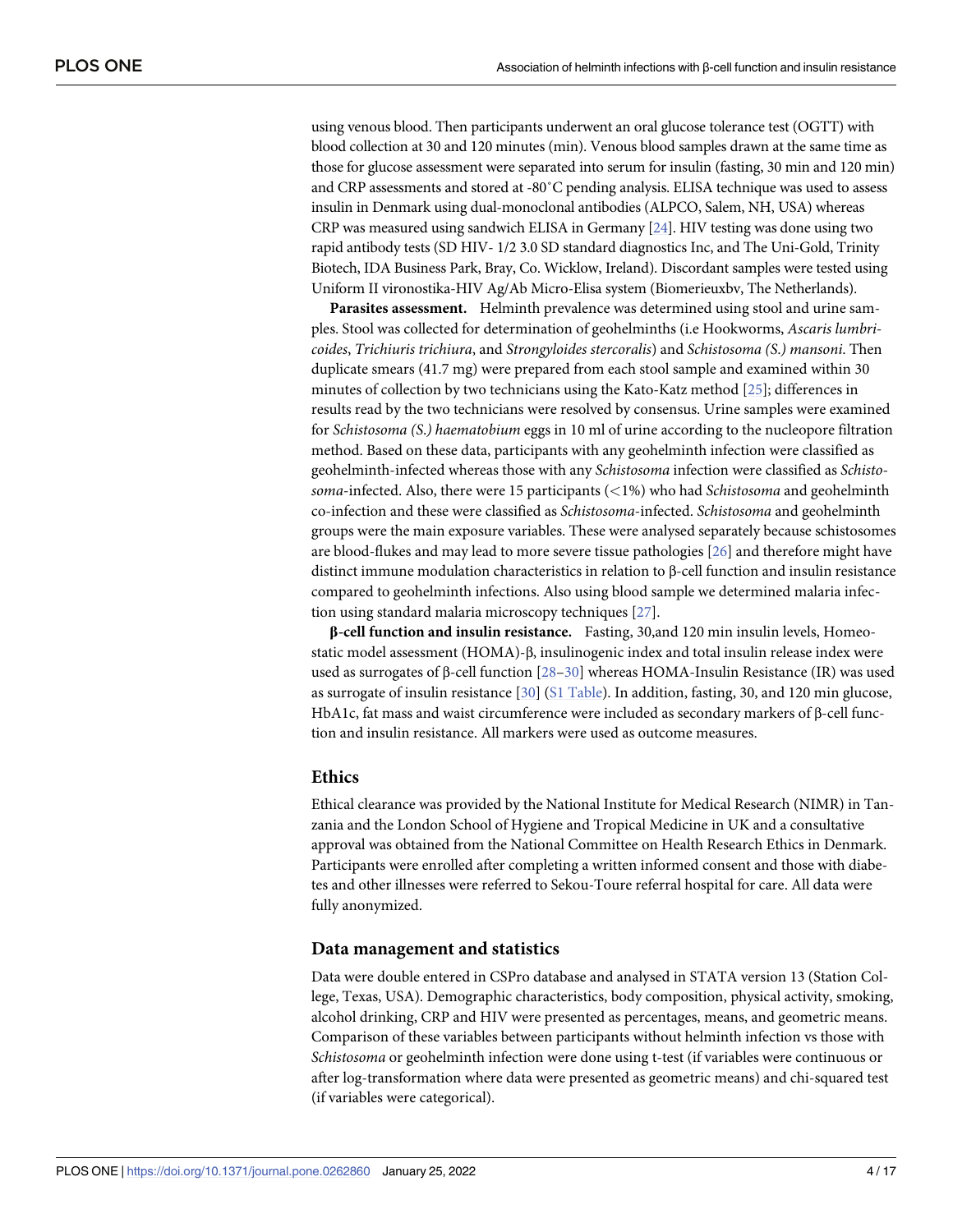<span id="page-3-0"></span>using venous blood. Then participants underwent an oral glucose tolerance test (OGTT) with blood collection at 30 and 120 minutes (min). Venous blood samples drawn at the same time as those for glucose assessment were separated into serum for insulin (fasting, 30 min and 120 min) and CRP assessments and stored at -80˚C pending analysis. ELISA technique was used to assess insulin in Denmark using dual-monoclonal antibodies (ALPCO, Salem, NH, USA) whereas CRP was measured using sandwich ELISA in Germany [[24](#page-15-0)]. HIV testing was done using two rapid antibody tests (SD HIV- 1/2 3.0 SD standard diagnostics Inc, and The Uni-Gold, Trinity Biotech, IDA Business Park, Bray, Co. Wicklow, Ireland). Discordant samples were tested using Uniform II vironostika-HIV Ag/Ab Micro-Elisa system (Biomerieuxbv, The Netherlands).

**Parasites assessment.** Helminth prevalence was determined using stool and urine samples. Stool was collected for determination of geohelminths (i.e Hookworms, *Ascaris lumbricoides*, *Trichiuris trichiura*, and *Strongyloides stercoralis*) and *Schistosoma (S*.*) mansoni*. Then duplicate smears (41.7 mg) were prepared from each stool sample and examined within 30 minutes of collection by two technicians using the Kato-Katz method [[25](#page-15-0)]; differences in results read by the two technicians were resolved by consensus. Urine samples were examined for *Schistosoma (S*.*) haematobium* eggs in 10 ml of urine according to the nucleopore filtration method. Based on these data, participants with any geohelminth infection were classified as geohelminth-infected whereas those with any *Schistosoma* infection were classified as *Schistosoma*-infected. Also, there were 15 participants (*<*1%) who had *Schistosoma* and geohelminth co-infection and these were classified as *Schistosoma*-infected. *Schistosoma* and geohelminth groups were the main exposure variables. These were analysed separately because schistosomes are blood-flukes and may lead to more severe tissue pathologies [[26](#page-15-0)] and therefore might have distinct immune modulation characteristics in relation to β-cell function and insulin resistance compared to geohelminth infections. Also using blood sample we determined malaria infection using standard malaria microscopy techniques [\[27\]](#page-15-0).

**β-cell function and insulin resistance.** Fasting, 30,and 120 min insulin levels, Homeostatic model assessment (HOMA)-β, insulinogenic index and total insulin release index were used as surrogates of β-cell function [\[28–30](#page-15-0)] whereas HOMA-Insulin Resistance (IR) was used as surrogate of insulin resistance [[30](#page-15-0)] (S1 [Table](#page-13-0)). In addition, fasting, 30, and 120 min glucose, HbA1c, fat mass and waist circumference were included as secondary markers of β-cell function and insulin resistance. All markers were used as outcome measures.

#### **Ethics**

Ethical clearance was provided by the National Institute for Medical Research (NIMR) in Tanzania and the London School of Hygiene and Tropical Medicine in UK and a consultative approval was obtained from the National Committee on Health Research Ethics in Denmark. Participants were enrolled after completing a written informed consent and those with diabetes and other illnesses were referred to Sekou-Toure referral hospital for care. All data were fully anonymized.

## **Data management and statistics**

Data were double entered in CSPro database and analysed in STATA version 13 (Station College, Texas, USA). Demographic characteristics, body composition, physical activity, smoking, alcohol drinking, CRP and HIV were presented as percentages, means, and geometric means. Comparison of these variables between participants without helminth infection vs those with *Schistosoma* or geohelminth infection were done using t-test (if variables were continuous or after log-transformation where data were presented as geometric means) and chi-squared test (if variables were categorical).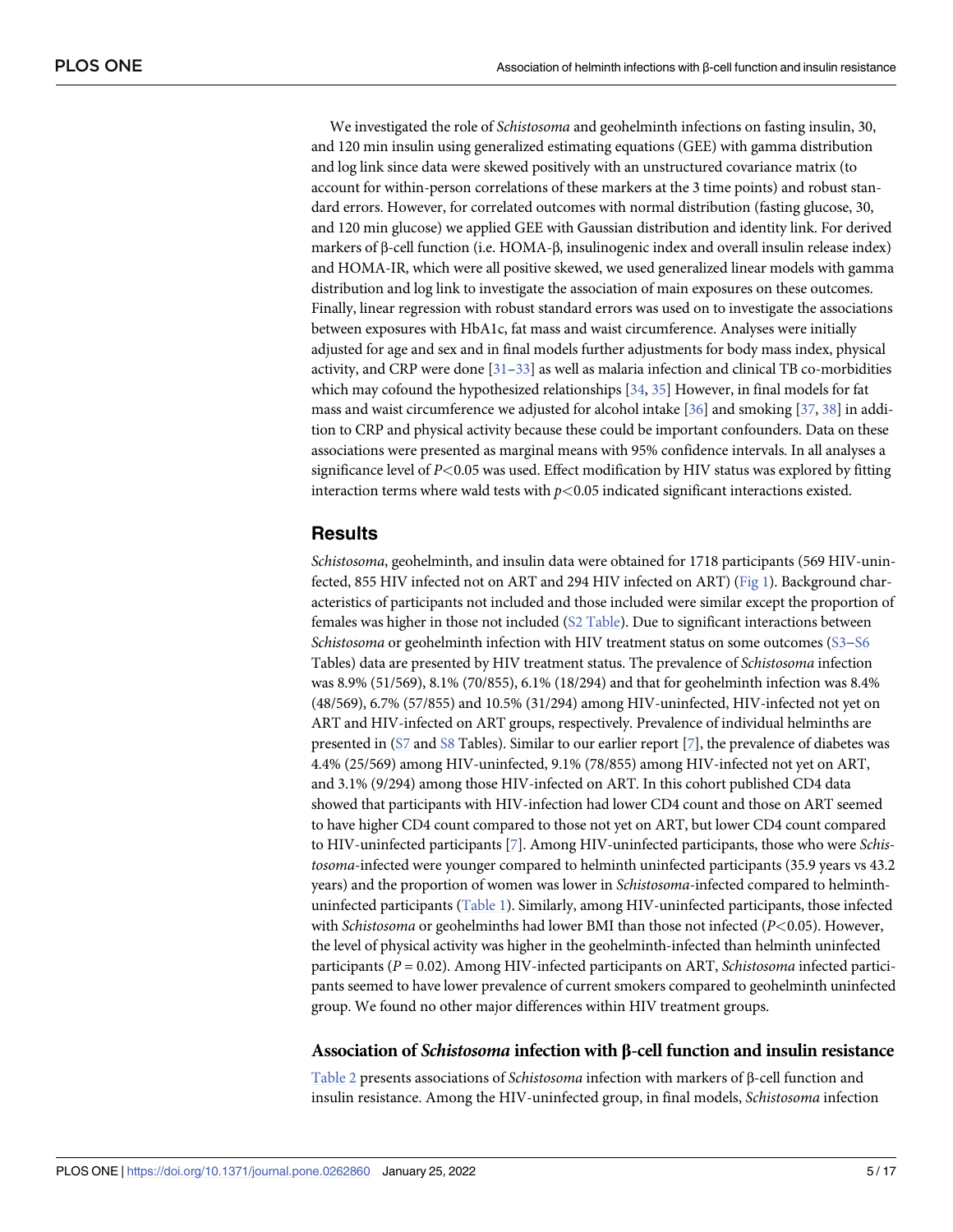<span id="page-4-0"></span>We investigated the role of *Schistosoma* and geohelminth infections on fasting insulin, 30, and 120 min insulin using generalized estimating equations (GEE) with gamma distribution and log link since data were skewed positively with an unstructured covariance matrix (to account for within-person correlations of these markers at the 3 time points) and robust standard errors. However, for correlated outcomes with normal distribution (fasting glucose, 30, and 120 min glucose) we applied GEE with Gaussian distribution and identity link. For derived markers of β-cell function (i.e. HOMA-β, insulinogenic index and overall insulin release index) and HOMA-IR, which were all positive skewed, we used generalized linear models with gamma distribution and log link to investigate the association of main exposures on these outcomes. Finally, linear regression with robust standard errors was used on to investigate the associations between exposures with HbA1c, fat mass and waist circumference. Analyses were initially adjusted for age and sex and in final models further adjustments for body mass index, physical activity, and CRP were done [[31–33\]](#page-15-0) as well as malaria infection and clinical TB co-morbidities which may cofound the hypothesized relationships [\[34](#page-15-0), [35](#page-15-0)] However, in final models for fat mass and waist circumference we adjusted for alcohol intake [[36](#page-16-0)] and smoking [\[37,](#page-16-0) [38\]](#page-16-0) in addition to CRP and physical activity because these could be important confounders. Data on these associations were presented as marginal means with 95% confidence intervals. In all analyses a significance level of *P<*0.05 was used. Effect modification by HIV status was explored by fitting interaction terms where wald tests with  $p$ <0.05 indicated significant interactions existed.

## **Results**

*Schistosoma*, geohelminth, and insulin data were obtained for 1718 participants (569 HIV-uninfected, 855 HIV infected not on ART and 294 HIV infected on ART) [\(Fig](#page-5-0) 1). Background characteristics of participants not included and those included were similar except the proportion of females was higher in those not included (S2 [Table\)](#page-13-0). Due to significant interactions between *Schistosoma* or geohelminth infection with HIV treatment status on some outcomes [\(S3](#page-13-0)−[S6](#page-13-0) Tables) data are presented by HIV treatment status. The prevalence of *Schistosoma* infection was 8.9% (51/569), 8.1% (70/855), 6.1% (18/294) and that for geohelminth infection was 8.4% (48/569), 6.7% (57/855) and 10.5% (31/294) among HIV-uninfected, HIV-infected not yet on ART and HIV-infected on ART groups, respectively. Prevalence of individual helminths are presented in [\(S7](#page-13-0) and [S8](#page-13-0) Tables). Similar to our earlier report [[7](#page-14-0)], the prevalence of diabetes was 4.4% (25/569) among HIV-uninfected, 9.1% (78/855) among HIV-infected not yet on ART, and 3.1% (9/294) among those HIV-infected on ART. In this cohort published CD4 data showed that participants with HIV-infection had lower CD4 count and those on ART seemed to have higher CD4 count compared to those not yet on ART, but lower CD4 count compared to HIV-uninfected participants [\[7\]](#page-14-0). Among HIV-uninfected participants, those who were *Schistosoma*-infected were younger compared to helminth uninfected participants (35.9 years vs 43.2 years) and the proportion of women was lower in *Schistosoma*-infected compared to helminthuninfected participants ([Table](#page-6-0) 1). Similarly, among HIV-uninfected participants, those infected with *Schistosoma* or geohelminths had lower BMI than those not infected (*P<*0.05). However, the level of physical activity was higher in the geohelminth-infected than helminth uninfected participants (*P* = 0.02). Among HIV-infected participants on ART, *Schistosoma* infected participants seemed to have lower prevalence of current smokers compared to geohelminth uninfected group. We found no other major differences within HIV treatment groups.

#### **Association of** *Schistosoma* **infection with β-cell function and insulin resistance**

[Table](#page-8-0) 2 presents associations of *Schistosoma* infection with markers of β-cell function and insulin resistance. Among the HIV-uninfected group, in final models, *Schistosoma* infection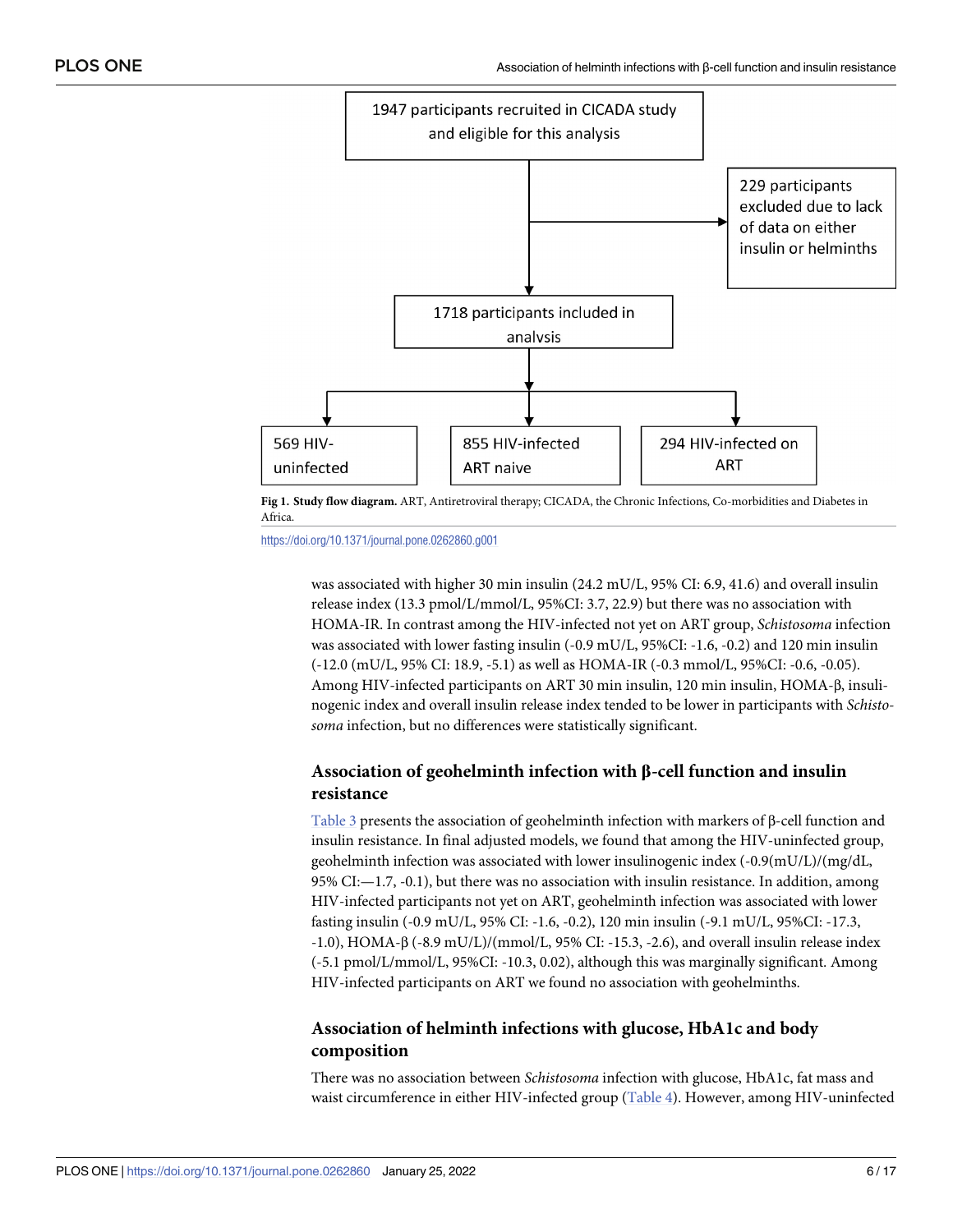<span id="page-5-0"></span>

**[Fig](#page-4-0) 1. Study flow diagram.** ART, Antiretroviral therapy; CICADA, the Chronic Infections, Co-morbidities and Diabetes in Africa.

<https://doi.org/10.1371/journal.pone.0262860.g001>

was associated with higher 30 min insulin (24.2 mU/L, 95% CI: 6.9, 41.6) and overall insulin release index (13.3 pmol/L/mmol/L, 95%CI: 3.7, 22.9) but there was no association with HOMA-IR. In contrast among the HIV-infected not yet on ART group, *Schistosoma* infection was associated with lower fasting insulin (-0.9 mU/L, 95%CI: -1.6, -0.2) and 120 min insulin (-12.0 (mU/L, 95% CI: 18.9, -5.1) as well as HOMA-IR (-0.3 mmol/L, 95%CI: -0.6, -0.05). Among HIV-infected participants on ART 30 min insulin, 120 min insulin, HOMA-β, insulinogenic index and overall insulin release index tended to be lower in participants with *Schistosoma* infection, but no differences were statistically significant.

# **Association of geohelminth infection with β-cell function and insulin resistance**

[Table](#page-9-0) 3 presents the association of geohelminth infection with markers of β-cell function and insulin resistance. In final adjusted models, we found that among the HIV-uninfected group, geohelminth infection was associated with lower insulinogenic index (-0.9(mU/L)/(mg/dL, 95% CI:—1.7, -0.1), but there was no association with insulin resistance. In addition, among HIV-infected participants not yet on ART, geohelminth infection was associated with lower fasting insulin (-0.9 mU/L, 95% CI: -1.6, -0.2), 120 min insulin (-9.1 mU/L, 95%CI: -17.3, -1.0), HOMA-β (-8.9 mU/L)/(mmol/L, 95% CI: -15.3, -2.6), and overall insulin release index (-5.1 pmol/L/mmol/L, 95%CI: -10.3, 0.02), although this was marginally significant. Among HIV-infected participants on ART we found no association with geohelminths.

# **Association of helminth infections with glucose, HbA1c and body composition**

There was no association between *Schistosoma* infection with glucose, HbA1c, fat mass and waist circumference in either HIV-infected group [\(Table](#page-10-0) 4). However, among HIV-uninfected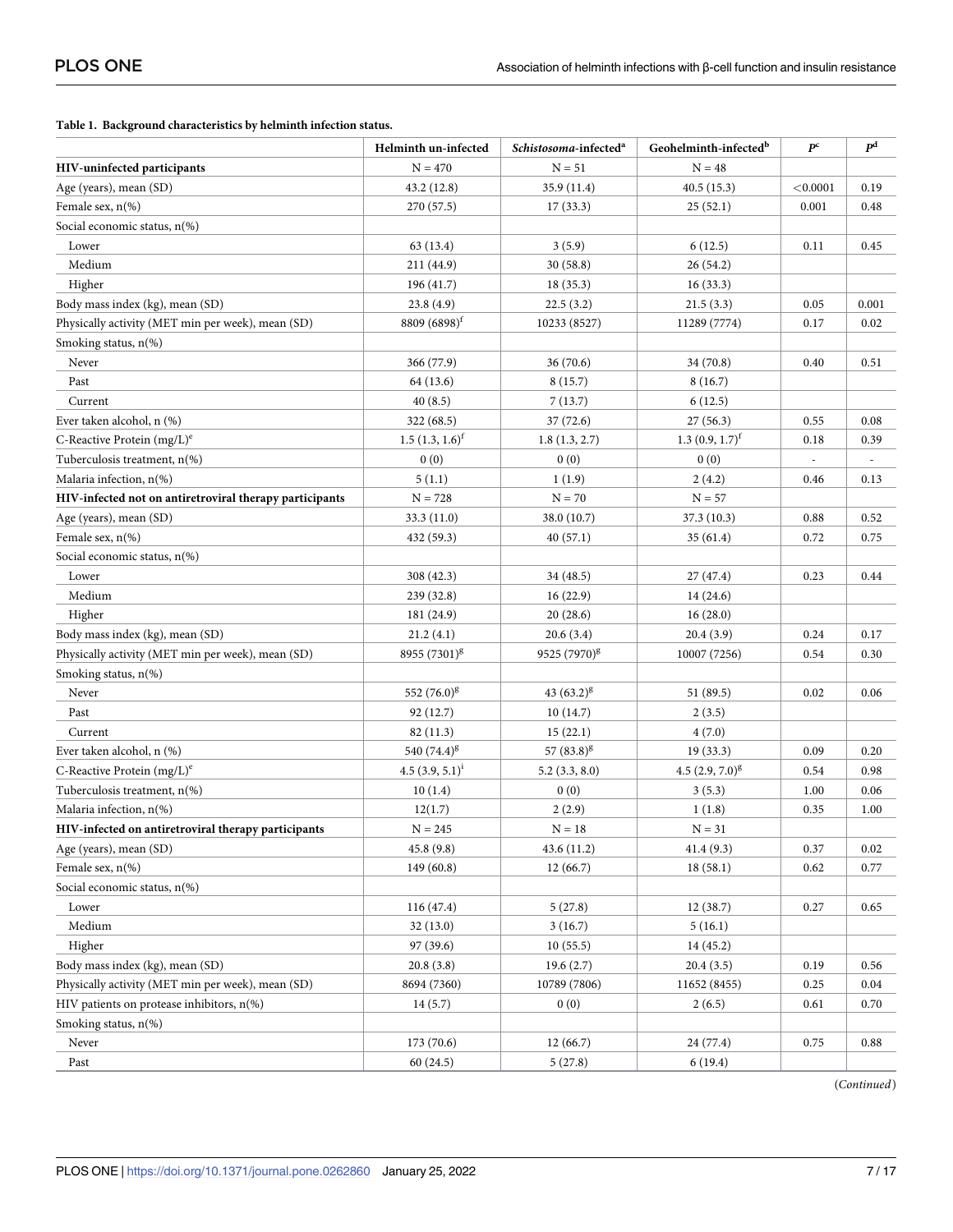<span id="page-6-0"></span>

|                                                         | Helminth un-infected | Schistosoma-infected <sup>a</sup> | Geohelminth-infected <sup>b</sup> | $P^{c}$                  | $I\!\!P^{\rm d}$ |
|---------------------------------------------------------|----------------------|-----------------------------------|-----------------------------------|--------------------------|------------------|
| HIV-uninfected participants                             | $N = 470$            | $N = 51$                          | $N = 48$                          |                          |                  |
| Age (years), mean (SD)                                  | 43.2 (12.8)          | 35.9 (11.4)                       | 40.5(15.3)                        | < 0.0001                 | 0.19             |
| Female sex, n(%)                                        | 270 (57.5)           | 17(33.3)                          | 25(52.1)                          | 0.001                    | 0.48             |
| Social economic status, n(%)                            |                      |                                   |                                   |                          |                  |
| Lower                                                   | 63 (13.4)            | 3(5.9)                            | 6(12.5)                           | 0.11                     | 0.45             |
| Medium                                                  | 211 (44.9)           | 30 (58.8)                         | 26(54.2)                          |                          |                  |
| Higher                                                  | 196(41.7)            | 18(35.3)                          | 16(33.3)                          |                          |                  |
| Body mass index (kg), mean (SD)                         | 23.8(4.9)            | 22.5(3.2)                         | 21.5(3.3)                         | 0.05                     | 0.001            |
| Physically activity (MET min per week), mean (SD)       | $8809(6898)^t$       | 10233 (8527)                      | 11289 (7774)                      | 0.17                     | 0.02             |
| Smoking status, n(%)                                    |                      |                                   |                                   |                          |                  |
| Never                                                   | 366 (77.9)           | 36(70.6)                          | 34 (70.8)                         | 0.40                     | 0.51             |
| Past                                                    | 64 (13.6)            | 8(15.7)                           | 8(16.7)                           |                          |                  |
| Current                                                 | 40(8.5)              | 7(13.7)                           | 6(12.5)                           |                          |                  |
| Ever taken alcohol, n (%)                               | 322 (68.5)           | 37(72.6)                          | 27(56.3)                          | 0.55                     | 0.08             |
| C-Reactive Protein $(mg/L)^e$                           | $1.5(1.3, 1.6)^f$    | 1.8(1.3, 2.7)                     | 1.3 $(0.9, 1.7)^f$                | 0.18                     | 0.39             |
| Tuberculosis treatment, n(%)                            | 0(0)                 | 0(0)                              | 0(0)                              | $\overline{\phantom{a}}$ | $\frac{1}{2}$    |
| Malaria infection, n(%)                                 | 5(1.1)               | 1(1.9)                            | 2(4.2)                            | 0.46                     | 0.13             |
| HIV-infected not on antiretroviral therapy participants | $N = 728$            | $N = 70$                          | $N = 57$                          |                          |                  |
| Age (years), mean (SD)                                  | 33.3 (11.0)          | 38.0 (10.7)                       | 37.3(10.3)                        | 0.88                     | 0.52             |
| Female sex, $n$ (%)                                     | 432 (59.3)           | 40(57.1)                          | 35(61.4)                          | 0.72                     | 0.75             |
| Social economic status, n(%)                            |                      |                                   |                                   |                          |                  |
| Lower                                                   | 308 (42.3)           | 34 (48.5)                         | 27(47.4)                          | 0.23                     | 0.44             |
| Medium                                                  | 239 (32.8)           | 16(22.9)                          | 14 (24.6)                         |                          |                  |
| Higher                                                  | 181 (24.9)           | 20(28.6)                          | 16(28.0)                          |                          |                  |
| Body mass index (kg), mean (SD)                         | 21.2(4.1)            | 20.6(3.4)                         | 20.4(3.9)                         | 0.24                     | 0.17             |
| Physically activity (MET min per week), mean (SD)       | $8955(7301)^{g}$     | 9525 (7970) <sup>g</sup>          | 10007 (7256)                      | 0.54                     | 0.30             |
| Smoking status, n(%)                                    |                      |                                   |                                   |                          |                  |
| Never                                                   | 552 $(76.0)^8$       | $43(63.2)^8$                      | 51 (89.5)                         | 0.02                     | 0.06             |
| Past                                                    | 92 (12.7)            | 10(14.7)                          | 2(3.5)                            |                          |                  |
| Current                                                 | 82(11.3)             | 15(22.1)                          | 4(7.0)                            |                          |                  |
| Ever taken alcohol, n (%)                               | 540 $(74.4)^{g}$     | 57 $(83.8)^8$                     | 19(33.3)                          | 0.09                     | 0.20             |
| C-Reactive Protein $(mg/L)^e$                           | $4.5(3.9, 5.1)^{i}$  | 5.2(3.3, 8.0)                     | $4.5(2.9, 7.0)^{g}$               | 0.54                     | 0.98             |
| Tuberculosis treatment, n(%)                            | 10(1.4)              | 0(0)                              | 3(5.3)                            | 1.00                     | 0.06             |
| Malaria infection, n(%)                                 | 12(1.7)              | 2(2.9)                            | 1(1.8)                            | 0.35                     | 1.00             |
| HIV-infected on antiretroviral therapy participants     | $N = 245$            | $N = 18$                          | $N = 31$                          |                          |                  |
| Age (years), mean (SD)                                  | 45.8 (9.8)           | 43.6 (11.2)                       | 41.4(9.3)                         | 0.37                     | $0.02\,$         |
| Female sex, n(%)                                        | 149(60.8)            | 12(66.7)                          | 18(58.1)                          | 0.62                     | 0.77             |
| Social economic status, n(%)                            |                      |                                   |                                   |                          |                  |
| Lower                                                   | 116(47.4)            | 5(27.8)                           | 12(38.7)                          | 0.27                     | 0.65             |
| Medium                                                  | 32(13.0)             | 3(16.7)                           | 5(16.1)                           |                          |                  |
| Higher                                                  | 97 (39.6)            | 10(55.5)                          | 14(45.2)                          |                          |                  |
| Body mass index (kg), mean (SD)                         | 20.8(3.8)            | 19.6(2.7)                         | 20.4(3.5)                         | 0.19                     | 0.56             |
| Physically activity (MET min per week), mean (SD)       | 8694 (7360)          | 10789 (7806)                      | 11652 (8455)                      | 0.25                     | 0.04             |
| HIV patients on protease inhibitors, n(%)               | 14(5.7)              | 0(0)                              | 2(6.5)                            | 0.61                     | 0.70             |
| Smoking status, $n$ (%)                                 |                      |                                   |                                   |                          |                  |
| Never                                                   | 173(70.6)            | 12(66.7)                          | 24 (77.4)                         | $0.75\,$                 | 0.88             |
| Past                                                    | 60(24.5)             | 5(27.8)                           | 6(19.4)                           |                          |                  |

(*Continued*)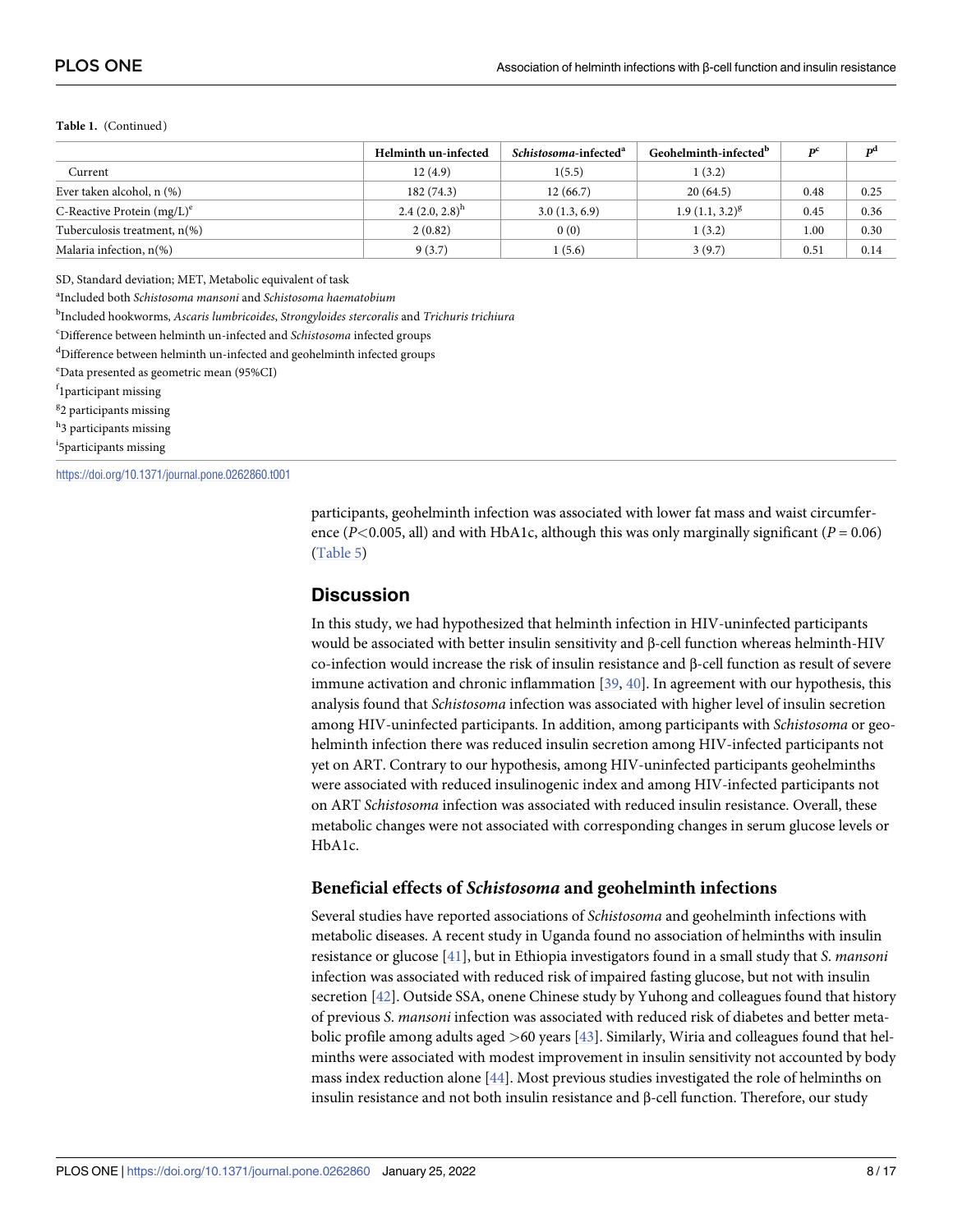#### <span id="page-7-0"></span>**Table 1.** (Continued)

|                               | Helminth un-infected | Schistosoma-infected <sup>a</sup> | Geohelminth-infected <sup>b</sup> | $\mathbf{p}^{\mathbf{c}}$ | D <sup>d</sup> |
|-------------------------------|----------------------|-----------------------------------|-----------------------------------|---------------------------|----------------|
| Current                       | 12(4.9)              | 1(5.5)                            | 1(3.2)                            |                           |                |
| Ever taken alcohol, n (%)     | 182(74.3)            | 12(66.7)                          | 20(64.5)                          | 0.48                      | 0.25           |
| C-Reactive Protein $(mg/L)^e$ | 2.4 $(2.0, 2.8)^{h}$ | 3.0(1.3, 6.9)                     | $1.9(1.1, 3.2)^{g}$               | 0.45                      | 0.36           |
| Tuberculosis treatment, n(%)  | 2(0.82)              | 0(0)                              | 1(3.2)                            | 0.11                      | 0.30           |
| Malaria infection, $n$ (%)    | 9(3.7)               | (5.6)                             | 3(9.7)                            | 0.51                      | 0.14           |

SD, Standard deviation; MET, Metabolic equivalent of task

a Included both *Schistosoma mansoni* and *Schistosoma haematobium*

b Included hookworms, *Ascaris lumbricoides*, *Strongyloides stercoralis* and *Trichuris trichiura*

c Difference between helminth un-infected and *Schistosoma* infected groups

d Difference between helminth un-infected and geohelminth infected groups

e Data presented as geometric mean (95%CI)

f<sub>1</sub>participant missing

<sup>g</sup>2 participants missing

<sup>h</sup>3 participants missing

i 5participants missing

<https://doi.org/10.1371/journal.pone.0262860.t001>

participants, geohelminth infection was associated with lower fat mass and waist circumference ( $P$ <0.005, all) and with HbA1c, although this was only marginally significant ( $P = 0.06$ ) [\(Table](#page-11-0) 5)

### **Discussion**

In this study, we had hypothesized that helminth infection in HIV-uninfected participants would be associated with better insulin sensitivity and β-cell function whereas helminth-HIV co-infection would increase the risk of insulin resistance and β-cell function as result of severe immune activation and chronic inflammation [\[39,](#page-16-0) [40\]](#page-16-0). In agreement with our hypothesis, this analysis found that *Schistosoma* infection was associated with higher level of insulin secretion among HIV-uninfected participants. In addition, among participants with *Schistosoma* or geohelminth infection there was reduced insulin secretion among HIV-infected participants not yet on ART. Contrary to our hypothesis, among HIV-uninfected participants geohelminths were associated with reduced insulinogenic index and among HIV-infected participants not on ART *Schistosoma* infection was associated with reduced insulin resistance. Overall, these metabolic changes were not associated with corresponding changes in serum glucose levels or HbA1c.

#### **Beneficial effects of** *Schistosoma* **and geohelminth infections**

Several studies have reported associations of *Schistosoma* and geohelminth infections with metabolic diseases. A recent study in Uganda found no association of helminths with insulin resistance or glucose [\[41\]](#page-16-0), but in Ethiopia investigators found in a small study that *S*. *mansoni* infection was associated with reduced risk of impaired fasting glucose, but not with insulin secretion [[42](#page-16-0)]. Outside SSA, onene Chinese study by Yuhong and colleagues found that history of previous *S*. *mansoni* infection was associated with reduced risk of diabetes and better metabolic profile among adults aged *>*60 years [\[43\]](#page-16-0). Similarly, Wiria and colleagues found that helminths were associated with modest improvement in insulin sensitivity not accounted by body mass index reduction alone [[44](#page-16-0)]. Most previous studies investigated the role of helminths on insulin resistance and not both insulin resistance and β-cell function. Therefore, our study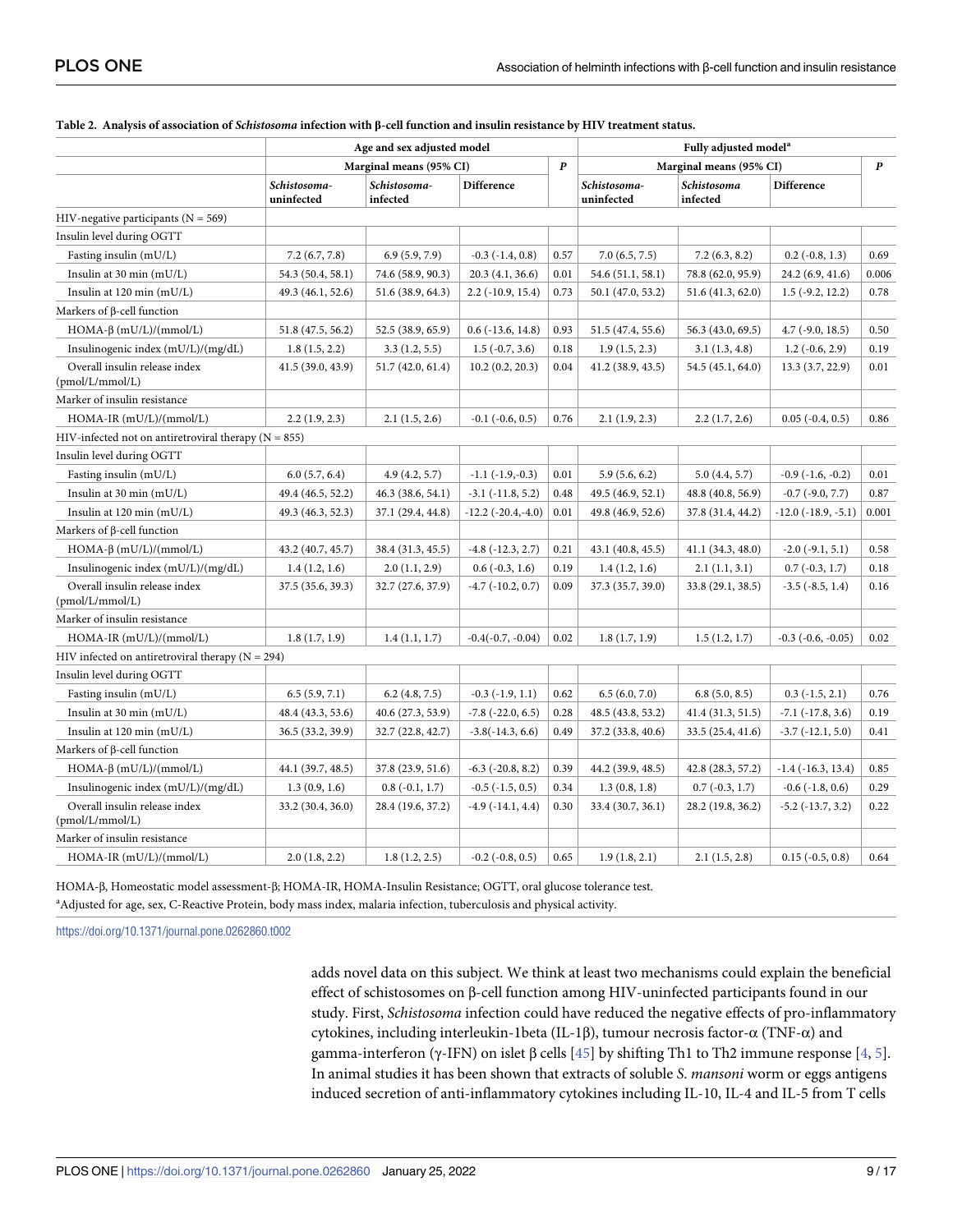|                                                          | Age and sex adjusted model |                          |                            |                  | Fully adjusted model <sup>a</sup> |                         |                             |       |
|----------------------------------------------------------|----------------------------|--------------------------|----------------------------|------------------|-----------------------------------|-------------------------|-----------------------------|-------|
|                                                          |                            | Marginal means (95% CI)  |                            | $\boldsymbol{P}$ |                                   | Marginal means (95% CI) |                             | P     |
|                                                          | Schistosoma-<br>uninfected | Schistosoma-<br>infected | Difference                 |                  | Schistosoma-<br>uninfected        | Schistosoma<br>infected | Difference                  |       |
| HIV-negative participants ( $N = 569$ )                  |                            |                          |                            |                  |                                   |                         |                             |       |
| Insulin level during OGTT                                |                            |                          |                            |                  |                                   |                         |                             |       |
| Fasting insulin (mU/L)                                   | 7.2(6.7, 7.8)              | 6.9(5.9, 7.9)            | $-0.3$ $(-1.4, 0.8)$       | 0.57             | 7.0(6.5, 7.5)                     | 7.2(6.3, 8.2)           | $0.2$ ( $-0.8$ , 1.3)       | 0.69  |
| Insulin at 30 min (mU/L)                                 | 54.3 (50.4, 58.1)          | 74.6 (58.9, 90.3)        | 20.3(4.1, 36.6)            | 0.01             | 54.6 (51.1, 58.1)                 | 78.8 (62.0, 95.9)       | 24.2 (6.9, 41.6)            | 0.006 |
| Insulin at $120 \text{ min (mU/L)}$                      | 49.3 (46.1, 52.6)          | 51.6 (38.9, 64.3)        | $2.2$ ( $-10.9$ , $15.4$ ) | 0.73             | 50.1 (47.0, 53.2)                 | 51.6 (41.3, 62.0)       | $1.5$ ( $-9.2$ , $12.2$ )   | 0.78  |
| Markers of $\beta$ -cell function                        |                            |                          |                            |                  |                                   |                         |                             |       |
| HOMA-β $(mU/L)/(mmol/L)$                                 | 51.8 (47.5, 56.2)          | 52.5 (38.9, 65.9)        | $0.6$ ( $-13.6$ , $14.8$ ) | 0.93             | 51.5 (47.4, 55.6)                 | 56.3 (43.0, 69.5)       | $4.7$ ( $-9.0$ , $18.5$ )   | 0.50  |
| Insulinogenic index (mU/L)/(mg/dL)                       | 1.8(1.5, 2.2)              | 3.3(1.2, 5.5)            | $1.5(-0.7, 3.6)$           | 0.18             | 1.9(1.5, 2.3)                     | 3.1(1.3, 4.8)           | $1.2$ ( $-0.6$ , $2.9$ )    | 0.19  |
| Overall insulin release index<br>(pmol/L/mmol/L)         | 41.5(39.0, 43.9)           | 51.7 (42.0, 61.4)        | 10.2(0.2, 20.3)            | 0.04             | 41.2 (38.9, 43.5)                 | 54.5 (45.1, 64.0)       | 13.3 (3.7, 22.9)            | 0.01  |
| Marker of insulin resistance                             |                            |                          |                            |                  |                                   |                         |                             |       |
| HOMA-IR (mU/L)/(mmol/L)                                  | 2.2(1.9, 2.3)              | 2.1(1.5, 2.6)            | $-0.1$ $(-0.6, 0.5)$       | 0.76             | 2.1(1.9, 2.3)                     | 2.2(1.7, 2.6)           | $0.05$ ( $-0.4$ , $0.5$ )   | 0.86  |
| HIV-infected not on antiretroviral therapy ( $N = 855$ ) |                            |                          |                            |                  |                                   |                         |                             |       |
| Insulin level during OGTT                                |                            |                          |                            |                  |                                   |                         |                             |       |
| Fasting insulin (mU/L)                                   | 6.0(5.7, 6.4)              | 4.9(4.2, 5.7)            | $-1.1$ $(-1.9,-0.3)$       | 0.01             | 5.9(5.6, 6.2)                     | 5.0(4.4, 5.7)           | $-0.9$ $(-1.6, -0.2)$       | 0.01  |
| Insulin at 30 min $(mU/L)$                               | 49.4 (46.5, 52.2)          | 46.3(38.6, 54.1)         | $-3.1$ ( $-11.8$ , 5.2)    | 0.48             | 49.5 (46.9, 52.1)                 | 48.8 (40.8, 56.9)       | $-0.7$ $(-9.0, 7.7)$        | 0.87  |
| Insulin at 120 min (mU/L)                                | 49.3 (46.3, 52.3)          | 37.1 (29.4, 44.8)        | $-12.2$ $(-20.4,-4.0)$     | 0.01             | 49.8 (46.9, 52.6)                 | 37.8 (31.4, 44.2)       | $-12.0$ $(-18.9, -5.1)$     | 0.001 |
| Markers of $\beta$ -cell function                        |                            |                          |                            |                  |                                   |                         |                             |       |
| HOMA-β $(mU/L)/(mmol/L)$                                 | 43.2 (40.7, 45.7)          | 38.4 (31.3, 45.5)        | $-4.8$ $(-12.3, 2.7)$      | 0.21             | 43.1 (40.8, 45.5)                 | 41.1 (34.3, 48.0)       | $-2.0$ ( $-9.1, 5.1$ )      | 0.58  |
| Insulinogenic index (mU/L)/(mg/dL)                       | 1.4(1.2, 1.6)              | 2.0(1.1, 2.9)            | $0.6$ ( $-0.3$ , 1.6)      | 0.19             | 1.4(1.2, 1.6)                     | 2.1(1.1, 3.1)           | $0.7(-0.3, 1.7)$            | 0.18  |
| Overall insulin release index<br>(pmol/L/mmol/L)         | 37.5 (35.6, 39.3)          | 32.7 (27.6, 37.9)        | $-4.7$ ( $-10.2$ , 0.7)    | 0.09             | 37.3 (35.7, 39.0)                 | 33.8 (29.1, 38.5)       | $-3.5$ $(-8.5, 1.4)$        | 0.16  |
| Marker of insulin resistance                             |                            |                          |                            |                  |                                   |                         |                             |       |
| $HOMA-IR$ (mU/L)/(mmol/L)                                | 1.8(1.7, 1.9)              | 1.4(1.1, 1.7)            | $-0.4(-0.7, -0.04)$        | 0.02             | 1.8(1.7, 1.9)                     | 1.5(1.2, 1.7)           | $-0.3$ $(-0.6, -0.05)$      | 0.02  |
| HIV infected on antiretroviral therapy ( $N = 294$ )     |                            |                          |                            |                  |                                   |                         |                             |       |
| Insulin level during OGTT                                |                            |                          |                            |                  |                                   |                         |                             |       |
| Fasting insulin (mU/L)                                   | 6.5(5.9, 7.1)              | 6.2(4.8, 7.5)            | $-0.3$ $(-1.9, 1.1)$       | 0.62             | 6.5(6.0, 7.0)                     | 6.8(5.0, 8.5)           | $0.3$ ( $-1.5$ , $2.1$ )    | 0.76  |
| Insulin at 30 min (mU/L)                                 | 48.4 (43.3, 53.6)          | 40.6 (27.3, 53.9)        | $-7.8$ $(-22.0, 6.5)$      | 0.28             | 48.5 (43.8, 53.2)                 | 41.4 (31.3, 51.5)       | $-7.1$ $(-17.8, 3.6)$       | 0.19  |
| Insulin at $120 \text{ min (mU/L)}$                      | 36.5 (33.2, 39.9)          | 32.7 (22.8, 42.7)        | $-3.8(-14.3, 6.6)$         | 0.49             | 37.2 (33.8, 40.6)                 | 33.5 (25.4, 41.6)       | $-3.7$ $(-12.1, 5.0)$       | 0.41  |
| Markers of $\beta$ -cell function                        |                            |                          |                            |                  |                                   |                         |                             |       |
| HOMA-β $(mU/L)/(mmol/L)$                                 | 44.1 (39.7, 48.5)          | 37.8 (23.9, 51.6)        | $-6.3$ $(-20.8, 8.2)$      | 0.39             | 44.2 (39.9, 48.5)                 | 42.8 (28.3, 57.2)       | $-1.4$ ( $-16.3$ , $13.4$ ) | 0.85  |
| Insulinogenic index (mU/L)/(mg/dL)                       | 1.3(0.9, 1.6)              | $0.8(-0.1, 1.7)$         | $-0.5$ $(-1.5, 0.5)$       | 0.34             | 1.3(0.8, 1.8)                     | $0.7(-0.3, 1.7)$        | $-0.6$ $(-1.8, 0.6)$        | 0.29  |
| Overall insulin release index<br>(pmol/L/mmol/L)         | 33.2 (30.4, 36.0)          | 28.4 (19.6, 37.2)        | $-4.9(-14.1, 4.4)$         | 0.30             | 33.4 (30.7, 36.1)                 | 28.2 (19.8, 36.2)       | $-5.2$ ( $-13.7, 3.2$ )     | 0.22  |
| Marker of insulin resistance                             |                            |                          |                            |                  |                                   |                         |                             |       |
| $HOMA-IR$ (mU/L)/(mmol/L)                                | 2.0(1.8, 2.2)              | 1.8(1.2, 2.5)            | $-0.2$ $(-0.8, 0.5)$       | 0.65             | 1.9(1.8, 2.1)                     | 2.1(1.5, 2.8)           | $0.15$ ( $-0.5, 0.8$ )      | 0.64  |

#### <span id="page-8-0"></span>[Table](#page-4-0) 2. Analysis of association of Schistosoma infection with β-cell function and insulin resistance by HIV treatment status.

HOMA-β, Homeostatic model assessment-β; HOMA-IR, HOMA-Insulin Resistance; OGTT, oral glucose tolerance test. a Adjusted for age, sex, C-Reactive Protein, body mass index, malaria infection, tuberculosis and physical activity.

<https://doi.org/10.1371/journal.pone.0262860.t002>

adds novel data on this subject. We think at least two mechanisms could explain the beneficial effect of schistosomes on β-cell function among HIV-uninfected participants found in our study. First, *Schistosoma* infection could have reduced the negative effects of pro-inflammatory cytokines, including interleukin-1beta (IL-1β), tumour necrosis factor-α (TNF-α) and gamma-interferon (γ-IFN) on islet β cells [[45](#page-16-0)] by shifting Th1 to Th2 immune response [\[4,](#page-14-0) [5\]](#page-14-0). In animal studies it has been shown that extracts of soluble *S*. *mansoni* worm or eggs antigens induced secretion of anti-inflammatory cytokines including IL-10, IL-4 and IL-5 from T cells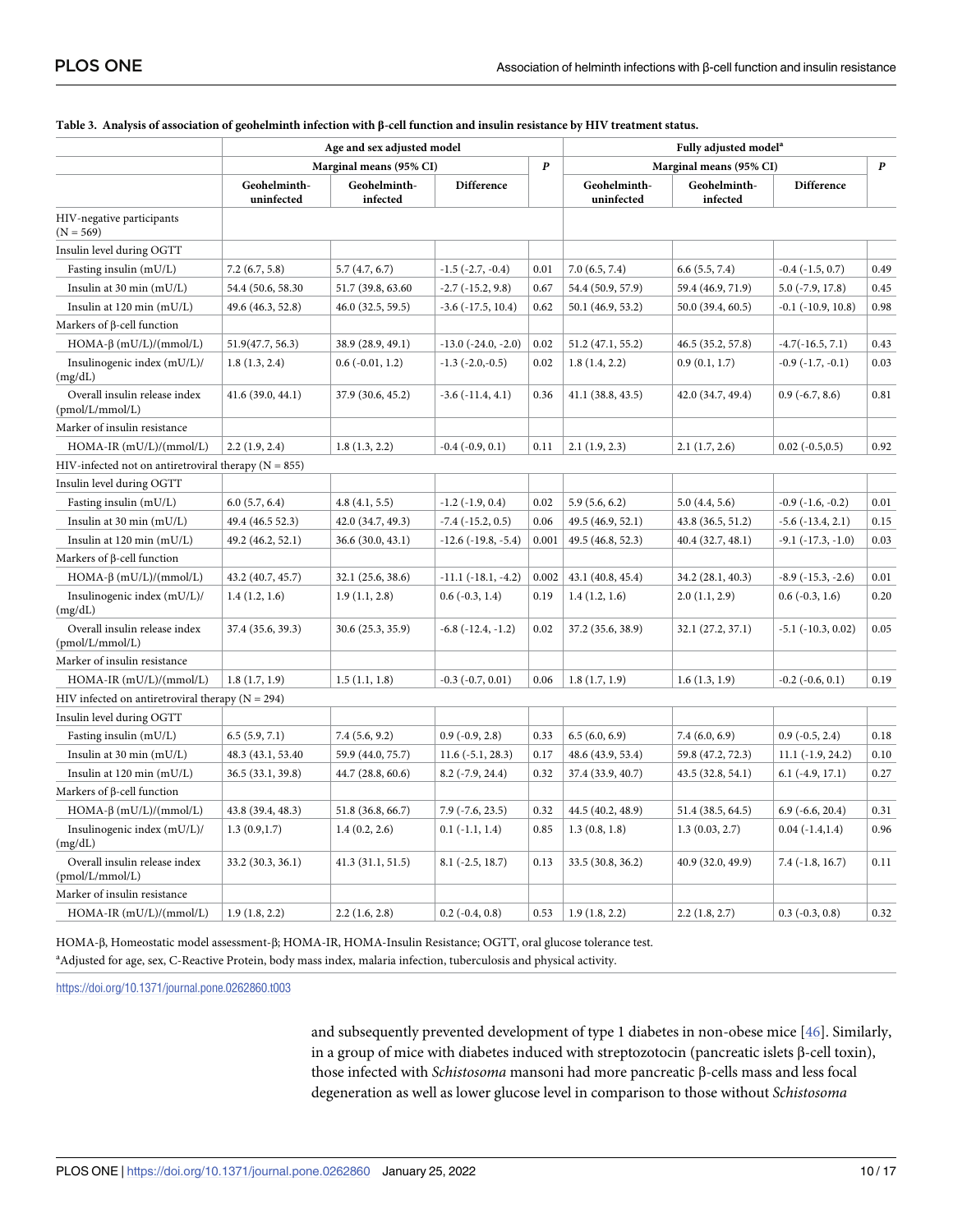|                                                          | Age and sex adjusted model |                          |                              | Fully adjusted model <sup>a</sup> |                            |                          |                             |                  |
|----------------------------------------------------------|----------------------------|--------------------------|------------------------------|-----------------------------------|----------------------------|--------------------------|-----------------------------|------------------|
|                                                          |                            | Marginal means (95% CI)  |                              | $\boldsymbol{p}$                  | Marginal means (95% CI)    |                          |                             | $\boldsymbol{P}$ |
|                                                          | Geohelminth-<br>uninfected | Geohelminth-<br>infected | <b>Difference</b>            |                                   | Geohelminth-<br>uninfected | Geohelminth-<br>infected | <b>Difference</b>           |                  |
| HIV-negative participants<br>$(N = 569)$                 |                            |                          |                              |                                   |                            |                          |                             |                  |
| Insulin level during OGTT                                |                            |                          |                              |                                   |                            |                          |                             |                  |
| Fasting insulin (mU/L)                                   | 7.2(6.7, 5.8)              | 5.7(4.7, 6.7)            | $-1.5$ $(-2.7, -0.4)$        | 0.01                              | 7.0(6.5, 7.4)              | 6.6(5.5, 7.4)            | $-0.4$ $(-1.5, 0.7)$        | 0.49             |
| Insulin at 30 min (mU/L)                                 | 54.4 (50.6, 58.30)         | 51.7 (39.8, 63.60)       | $-2.7$ ( $-15.2$ , 9.8)      | 0.67                              | 54.4 (50.9, 57.9)          | 59.4 (46.9, 71.9)        | $5.0$ ( $-7.9$ , $17.8$ )   | 0.45             |
| Insulin at $120 \text{ min (mU/L)}$                      | 49.6 (46.3, 52.8)          | 46.0 (32.5, 59.5)        | $-3.6$ ( $-17.5$ , $10.4$ )  | 0.62                              | 50.1 (46.9, 53.2)          | 50.0 (39.4, 60.5)        | $-0.1$ $(-10.9, 10.8)$      | 0.98             |
| Markers of $\beta$ -cell function                        |                            |                          |                              |                                   |                            |                          |                             |                  |
| $HOMA-\beta$ (mU/L)/(mmol/L)                             | 51.9(47.7, 56.3)           | 38.9 (28.9, 49.1)        | $-13.0$ $(-24.0, -2.0)$      | 0.02                              | 51.2 (47.1, 55.2)          | 46.5 (35.2, 57.8)        | $-4.7(-16.5, 7.1)$          | 0.43             |
| Insulinogenic index (mU/L)/<br>(mg/dL)                   | 1.8(1.3, 2.4)              | $0.6(-0.01, 1.2)$        | $-1.3$ $(-2.0,-0.5)$         | 0.02                              | 1.8(1.4, 2.2)              | 0.9(0.1, 1.7)            | $-0.9$ $(-1.7, -0.1)$       | 0.03             |
| Overall insulin release index<br>(pmol/L/mmol/L)         | 41.6 (39.0, 44.1)          | 37.9 (30.6, 45.2)        | $-3.6$ $(-11.4, 4.1)$        | 0.36                              | 41.1(38.8, 43.5)           | 42.0 (34.7, 49.4)        | $0.9$ ( $-6.7, 8.6$ )       | 0.81             |
| Marker of insulin resistance                             |                            |                          |                              |                                   |                            |                          |                             |                  |
| HOMA-IR (mU/L)/(mmol/L)                                  | 2.2(1.9, 2.4)              | 1.8(1.3, 2.2)            | $-0.4$ $(-0.9, 0.1)$         | 0.11                              | 2.1(1.9, 2.3)              | 2.1(1.7, 2.6)            | $0.02$ ( $-0.5,0.5$ )       | 0.92             |
| HIV-infected not on antiretroviral therapy ( $N = 855$ ) |                            |                          |                              |                                   |                            |                          |                             |                  |
| Insulin level during OGTT                                |                            |                          |                              |                                   |                            |                          |                             |                  |
| Fasting insulin (mU/L)                                   | 6.0(5.7, 6.4)              | 4.8(4.1, 5.5)            | $-1.2$ $(-1.9, 0.4)$         | 0.02                              | 5.9(5.6, 6.2)              | 5.0(4.4, 5.6)            | $-0.9$ $(-1.6, -0.2)$       | 0.01             |
| Insulin at 30 min (mU/L)                                 | 49.4 (46.5 52.3)           | 42.0 (34.7, 49.3)        | $-7.4$ ( $-15.2$ , 0.5)      | 0.06                              | 49.5 (46.9, 52.1)          | 43.8 (36.5, 51.2)        | $-5.6$ $(-13.4, 2.1)$       | 0.15             |
| Insulin at 120 min (mU/L)                                | 49.2 (46.2, 52.1)          | 36.6 (30.0, 43.1)        | $-12.6$ ( $-19.8$ , $-5.4$ ) | 0.001                             | 49.5 (46.8, 52.3)          | 40.4 (32.7, 48.1)        | $-9.1$ $(-17.3, -1.0)$      | 0.03             |
| Markers of $\beta$ -cell function                        |                            |                          |                              |                                   |                            |                          |                             |                  |
| $HOMA-\beta$ (mU/L)/(mmol/L)                             | 43.2 (40.7, 45.7)          | 32.1 (25.6, 38.6)        | $-11.1$ $(-18.1, -4.2)$      | 0.002                             | 43.1 (40.8, 45.4)          | 34.2 (28.1, 40.3)        | $-8.9$ ( $-15.3$ , $-2.6$ ) | 0.01             |
| Insulinogenic index $(mU/L)$ /<br>(mg/dL)                | 1.4(1.2, 1.6)              | 1.9(1.1, 2.8)            | $0.6(-0.3, 1.4)$             | 0.19                              | 1.4(1.2, 1.6)              | 2.0(1.1, 2.9)            | $0.6$ ( $-0.3$ , 1.6)       | 0.20             |
| Overall insulin release index<br>(pmol/L/mmol/L)         | 37.4 (35.6, 39.3)          | 30.6 (25.3, 35.9)        | $-6.8$ $(-12.4, -1.2)$       | 0.02                              | 37.2 (35.6, 38.9)          | 32.1 (27.2, 37.1)        | $-5.1$ ( $-10.3$ , $0.02$ ) | 0.05             |
| Marker of insulin resistance                             |                            |                          |                              |                                   |                            |                          |                             |                  |
| HOMA-IR (mU/L)/(mmol/L)                                  | 1.8(1.7, 1.9)              | 1.5(1.1, 1.8)            | $-0.3$ $(-0.7, 0.01)$        | 0.06                              | 1.8(1.7, 1.9)              | 1.6(1.3, 1.9)            | $-0.2$ $(-0.6, 0.1)$        | 0.19             |
| HIV infected on antiretroviral therapy ( $N = 294$ )     |                            |                          |                              |                                   |                            |                          |                             |                  |
| Insulin level during OGTT                                |                            |                          |                              |                                   |                            |                          |                             |                  |
| Fasting insulin (mU/L)                                   | 6.5(5.9, 7.1)              | 7.4(5.6, 9.2)            | $0.9(-0.9, 2.8)$             | 0.33                              | 6.5(6.0, 6.9)              | 7.4(6.0, 6.9)            | $0.9(-0.5, 2.4)$            | 0.18             |
| Insulin at 30 min $(mU/L)$                               | 48.3 (43.1, 53.40)         | 59.9 (44.0, 75.7)        | $11.6(-5.1, 28.3)$           | 0.17                              | 48.6 (43.9, 53.4)          | 59.8 (47.2, 72.3)        | $11.1(-1.9, 24.2)$          | 0.10             |
| Insulin at 120 min (mU/L)                                | 36.5 (33.1, 39.8)          | 44.7 (28.8, 60.6)        | $8.2$ ( $-7.9$ , 24.4)       | 0.32                              | 37.4 (33.9, 40.7)          | 43.5 (32.8, 54.1)        | $6.1$ (-4.9, 17.1)          | 0.27             |
| Markers of <b>ß</b> -cell function                       |                            |                          |                              |                                   |                            |                          |                             |                  |
| $HOMA-\beta$ (mU/L)/(mmol/L)                             | 43.8 (39.4, 48.3)          | 51.8 (36.8, 66.7)        | $7.9$ ( $-7.6$ , 23.5)       | 0.32                              | 44.5 (40.2, 48.9)          | 51.4 (38.5, 64.5)        | $6.9$ ( $-6.6$ , 20.4)      | 0.31             |
| Insulinogenic index (mU/L)/<br>(mg/dL)                   | 1.3(0.9, 1.7)              | 1.4(0.2, 2.6)            | $0.1(-1.1, 1.4)$             | 0.85                              | 1.3(0.8, 1.8)              | 1.3(0.03, 2.7)           | $0.04(-1.4, 1.4)$           | 0.96             |
| Overall insulin release index<br>(pmol/L/mmol/L)         | 33.2 (30.3, 36.1)          | 41.3(31.1, 51.5)         | $8.1$ ( $-2.5$ , 18.7)       | 0.13                              | 33.5 (30.8, 36.2)          | 40.9 (32.0, 49.9)        | $7.4(-1.8, 16.7)$           | 0.11             |
| Marker of insulin resistance                             |                            |                          |                              |                                   |                            |                          |                             |                  |
| HOMA-IR (mU/L)/(mmol/L)                                  | 1.9(1.8, 2.2)              | 2.2(1.6, 2.8)            | $0.2$ ( $-0.4$ , $0.8$ )     | 0.53                              | 1.9(1.8, 2.2)              | 2.2(1.8, 2.7)            | $0.3(-0.3, 0.8)$            | 0.32             |

#### <span id="page-9-0"></span>[Table](#page-5-0) 3. Analysis of association of geohelminth infection with β-cell function and insulin resistance by HIV treatment status.

HOMA-β, Homeostatic model assessment-β; HOMA-IR, HOMA-Insulin Resistance; OGTT, oral glucose tolerance test. a Adjusted for age, sex, C-Reactive Protein, body mass index, malaria infection, tuberculosis and physical activity.

<https://doi.org/10.1371/journal.pone.0262860.t003>

and subsequently prevented development of type 1 diabetes in non-obese mice [[46](#page-16-0)]. Similarly, in a group of mice with diabetes induced with streptozotocin (pancreatic islets β-cell toxin), those infected with *Schistosoma* mansoni had more pancreatic β-cells mass and less focal degeneration as well as lower glucose level in comparison to those without *Schistosoma*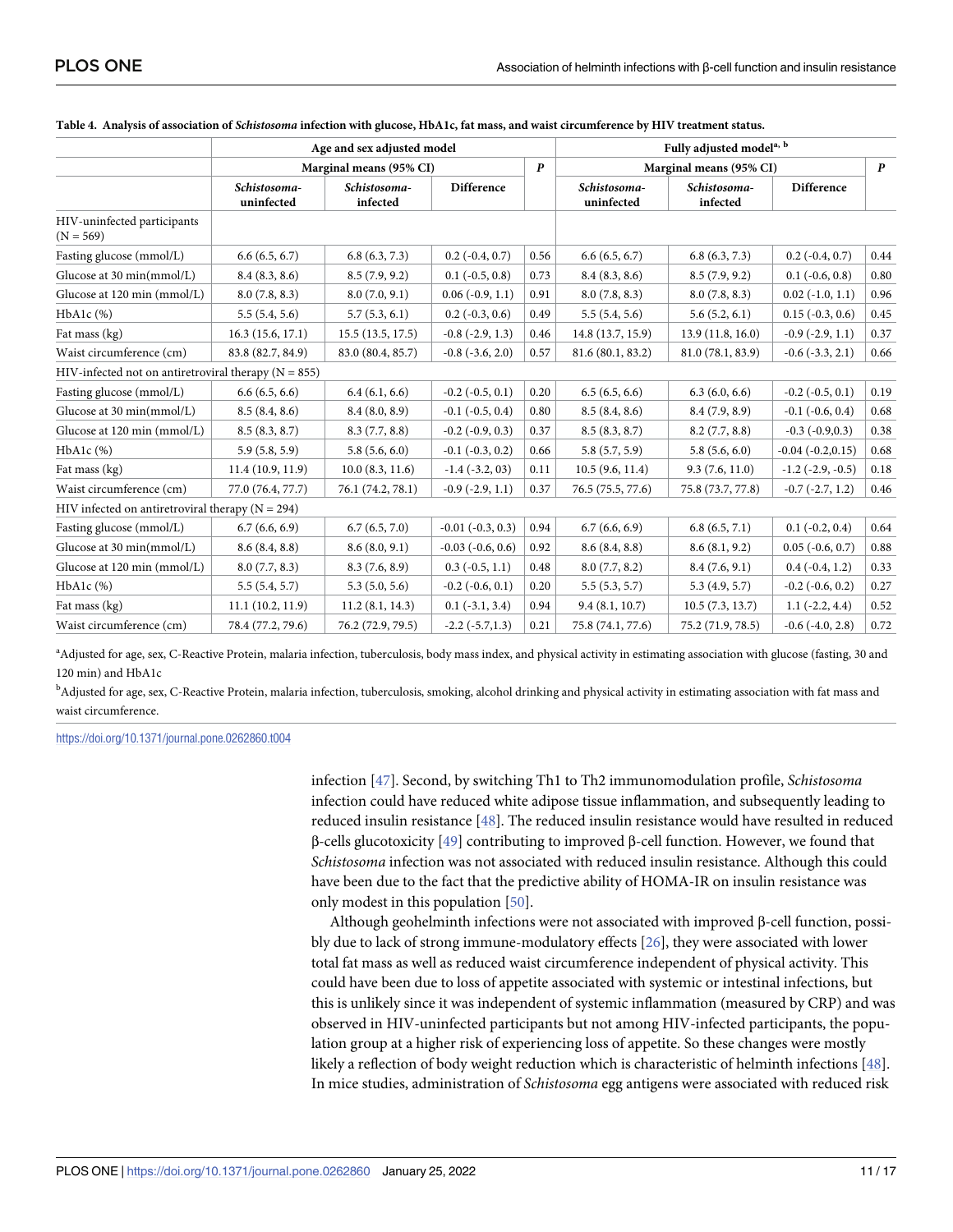|                                                          | Age and sex adjusted model |                                             |                          | Fully adjusted model <sup>a, b</sup> |                            |                          |                          |      |
|----------------------------------------------------------|----------------------------|---------------------------------------------|--------------------------|--------------------------------------|----------------------------|--------------------------|--------------------------|------|
|                                                          |                            | $\boldsymbol{p}$<br>Marginal means (95% CI) |                          |                                      | Marginal means (95% CI)    |                          | $\boldsymbol{p}$         |      |
|                                                          | Schistosoma-<br>uninfected | Schistosoma-<br>infected                    | Difference               |                                      | Schistosoma-<br>uninfected | Schistosoma-<br>infected | Difference               |      |
| HIV-uninfected participants<br>$(N = 569)$               |                            |                                             |                          |                                      |                            |                          |                          |      |
| Fasting glucose (mmol/L)                                 | 6.6(6.5, 6.7)              | 6.8(6.3, 7.3)                               | $0.2$ ( $-0.4$ , $0.7$ ) | 0.56                                 | 6.6(6.5, 6.7)              | 6.8(6.3, 7.3)            | $0.2$ ( $-0.4$ , $0.7$ ) | 0.44 |
| Glucose at 30 min(mmol/L)                                | 8.4(8.3, 8.6)              | 8.5(7.9, 9.2)                               | $0.1$ ( $-0.5, 0.8$ )    | 0.73                                 | 8.4(8.3, 8.6)              | 8.5(7.9, 9.2)            | $0.1$ ( $-0.6, 0.8$ )    | 0.80 |
| Glucose at 120 min (mmol/L)                              | 8.0(7.8, 8.3)              | 8.0(7.0, 9.1)                               | $0.06(-0.9, 1.1)$        | 0.91                                 | 8.0(7.8, 8.3)              | 8.0(7.8, 8.3)            | $0.02$ ( $-1.0, 1.1$ )   | 0.96 |
| HbA1c (%)                                                | 5.5(5.4, 5.6)              | 5.7(5.3, 6.1)                               | $0.2$ ( $-0.3, 0.6$ )    | 0.49                                 | 5.5(5.4, 5.6)              | 5.6(5.2, 6.1)            | $0.15(-0.3, 0.6)$        | 0.45 |
| Fat mass (kg)                                            | 16.3(15.6, 17.1)           | 15.5(13.5, 17.5)                            | $-0.8$ $(-2.9, 1.3)$     | 0.46                                 | 14.8 (13.7, 15.9)          | 13.9 (11.8, 16.0)        | $-0.9$ $(-2.9, 1.1)$     | 0.37 |
| Waist circumference (cm)                                 | 83.8 (82.7, 84.9)          | 83.0 (80.4, 85.7)                           | $-0.8$ $(-3.6, 2.0)$     | 0.57                                 | 81.6 (80.1, 83.2)          | 81.0 (78.1, 83.9)        | $-0.6$ $(-3.3, 2.1)$     | 0.66 |
| HIV-infected not on antiretroviral therapy ( $N = 855$ ) |                            |                                             |                          |                                      |                            |                          |                          |      |
| Fasting glucose (mmol/L)                                 | 6.6(6.5, 6.6)              | 6.4(6.1, 6.6)                               | $-0.2$ $(-0.5, 0.1)$     | 0.20                                 | 6.5(6.5, 6.6)              | 6.3(6.0, 6.6)            | $-0.2$ $(-0.5, 0.1)$     | 0.19 |
| Glucose at 30 min(mmol/L)                                | 8.5(8.4, 8.6)              | 8.4(8.0, 8.9)                               | $-0.1$ $(-0.5, 0.4)$     | 0.80                                 | 8.5(8.4, 8.6)              | 8.4(7.9, 8.9)            | $-0.1$ $(-0.6, 0.4)$     | 0.68 |
| Glucose at 120 min (mmol/L)                              | 8.5(8.3, 8.7)              | 8.3(7.7, 8.8)                               | $-0.2$ $(-0.9, 0.3)$     | 0.37                                 | 8.5(8.3, 8.7)              | 8.2(7.7, 8.8)            | $-0.3$ $(-0.9,0.3)$      | 0.38 |
| HbA1c (%)                                                | 5.9(5.8, 5.9)              | 5.8(5.6, 6.0)                               | $-0.1$ $(-0.3, 0.2)$     | 0.66                                 | 5.8(5.7, 5.9)              | 5.8(5.6, 6.0)            | $-0.04$ $(-0.2, 0.15)$   | 0.68 |
| Fat mass (kg)                                            | 11.4(10.9, 11.9)           | 10.0 (8.3, 11.6)                            | $-1.4$ $(-3.2, 03)$      | 0.11                                 | 10.5(9.6, 11.4)            | 9.3(7.6, 11.0)           | $-1.2$ ( $-2.9, -0.5$ )  | 0.18 |
| Waist circumference (cm)                                 | 77.0 (76.4, 77.7)          | 76.1 (74.2, 78.1)                           | $-0.9$ $(-2.9, 1.1)$     | 0.37                                 | 76.5 (75.5, 77.6)          | 75.8 (73.7, 77.8)        | $-0.7$ $(-2.7, 1.2)$     | 0.46 |
| HIV infected on antiretroviral therapy ( $N = 294$ )     |                            |                                             |                          |                                      |                            |                          |                          |      |
| Fasting glucose (mmol/L)                                 | 6.7(6.6, 6.9)              | 6.7(6.5, 7.0)                               | $-0.01$ $(-0.3, 0.3)$    | 0.94                                 | 6.7(6.6, 6.9)              | 6.8(6.5, 7.1)            | $0.1$ ( $-0.2, 0.4$ )    | 0.64 |
| Glucose at 30 min(mmol/L)                                | 8.6(8.4, 8.8)              | 8.6(8.0, 9.1)                               | $-0.03$ $(-0.6, 0.6)$    | 0.92                                 | 8.6(8.4, 8.8)              | 8.6(8.1, 9.2)            | $0.05$ $(-0.6, 0.7)$     | 0.88 |
| Glucose at 120 min (mmol/L)                              | 8.0(7.7, 8.3)              | 8.3(7.6, 8.9)                               | $0.3$ ( $-0.5$ , 1.1)    | 0.48                                 | 8.0(7.7, 8.2)              | 8.4(7.6, 9.1)            | $0.4(-0.4, 1.2)$         | 0.33 |
| HbA1c (%)                                                | 5.5(5.4, 5.7)              | 5.3(5.0, 5.6)                               | $-0.2$ $(-0.6, 0.1)$     | 0.20                                 | 5.5(5.3, 5.7)              | 5.3(4.9, 5.7)            | $-0.2$ $(-0.6, 0.2)$     | 0.27 |
| Fat mass (kg)                                            | 11.1(10.2, 11.9)           | 11.2(8.1, 14.3)                             | $0.1$ ( $-3.1, 3.4$ )    | 0.94                                 | 9.4(8.1, 10.7)             | 10.5(7.3, 13.7)          | $1.1(-2.2, 4.4)$         | 0.52 |
| Waist circumference (cm)                                 | 78.4 (77.2, 79.6)          | 76.2 (72.9, 79.5)                           | $-2.2$ $(-5.7, 1.3)$     | 0.21                                 | 75.8 (74.1, 77.6)          | 75.2 (71.9, 78.5)        | $-0.6$ $(-4.0, 2.8)$     | 0.72 |

<span id="page-10-0"></span>

|  | Table 4. Analysis of association of Schistosoma infection with glucose, HbA1c, fat mass, and waist circumference by HIV treatment status. |  |  |
|--|-------------------------------------------------------------------------------------------------------------------------------------------|--|--|
|  |                                                                                                                                           |  |  |

a<br>Adjusted for age, sex, C-Reactive Protein, malaria infection, tuberculosis, body mass index, and physical activity in estimating association with glucose (fasting, 30 and 120 min) and HbA1c

b<br>Adjusted for age, sex, C-Reactive Protein, malaria infection, tuberculosis, smoking, alcohol drinking and physical activity in estimating association with fat mass and waist circumference.

<https://doi.org/10.1371/journal.pone.0262860.t004>

infection [\[47\]](#page-16-0). Second, by switching Th1 to Th2 immunomodulation profile, *Schistosoma* infection could have reduced white adipose tissue inflammation, and subsequently leading to reduced insulin resistance [\[48\]](#page-16-0). The reduced insulin resistance would have resulted in reduced β-cells glucotoxicity [[49](#page-16-0)] contributing to improved β-cell function. However, we found that *Schistosoma* infection was not associated with reduced insulin resistance. Although this could have been due to the fact that the predictive ability of HOMA-IR on insulin resistance was only modest in this population [[50](#page-16-0)].

Although geohelminth infections were not associated with improved β-cell function, possibly due to lack of strong immune-modulatory effects [[26](#page-15-0)], they were associated with lower total fat mass as well as reduced waist circumference independent of physical activity. This could have been due to loss of appetite associated with systemic or intestinal infections, but this is unlikely since it was independent of systemic inflammation (measured by CRP) and was observed in HIV-uninfected participants but not among HIV-infected participants, the population group at a higher risk of experiencing loss of appetite. So these changes were mostly likely a reflection of body weight reduction which is characteristic of helminth infections [[48](#page-16-0)]. In mice studies, administration of *Schistosoma* egg antigens were associated with reduced risk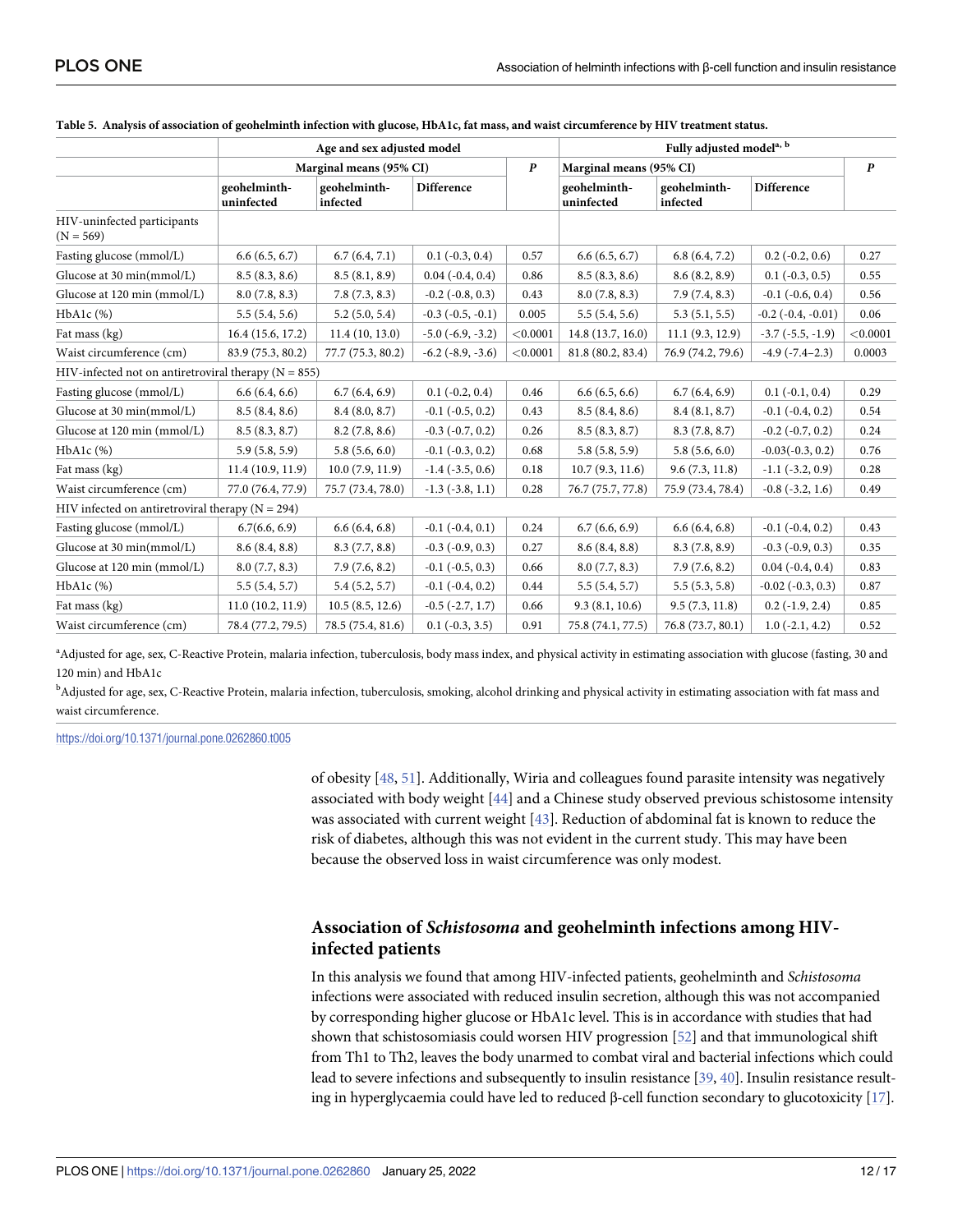|                                                          | Age and sex adjusted model |                          |                          |                  | Fully adjusted model <sup>a, b</sup> |                          |                          |          |
|----------------------------------------------------------|----------------------------|--------------------------|--------------------------|------------------|--------------------------------------|--------------------------|--------------------------|----------|
|                                                          |                            | Marginal means (95% CI)  |                          | $\boldsymbol{P}$ |                                      | Marginal means (95% CI)  |                          |          |
|                                                          | geohelminth-<br>uninfected | geohelminth-<br>infected | Difference               |                  | geohelminth-<br>uninfected           | geohelminth-<br>infected | <b>Difference</b>        |          |
| HIV-uninfected participants<br>$(N = 569)$               |                            |                          |                          |                  |                                      |                          |                          |          |
| Fasting glucose (mmol/L)                                 | 6.6(6.5, 6.7)              | 6.7(6.4, 7.1)            | $0.1$ ( $-0.3$ , $0.4$ ) | 0.57             | 6.6(6.5, 6.7)                        | 6.8(6.4, 7.2)            | $0.2$ ( $-0.2$ , $0.6$ ) | 0.27     |
| Glucose at 30 min(mmol/L)                                | 8.5(8.3, 8.6)              | 8.5(8.1, 8.9)            | $0.04$ $(-0.4, 0.4)$     | 0.86             | 8.5(8.3, 8.6)                        | 8.6(8.2, 8.9)            | $0.1$ ( $-0.3$ , $0.5$ ) | 0.55     |
| Glucose at 120 min (mmol/L)                              | 8.0(7.8, 8.3)              | 7.8(7.3, 8.3)            | $-0.2$ $(-0.8, 0.3)$     | 0.43             | 8.0(7.8, 8.3)                        | 7.9(7.4, 8.3)            | $-0.1$ $(-0.6, 0.4)$     | 0.56     |
| HbA1c (%)                                                | 5.5(5.4, 5.6)              | 5.2(5.0, 5.4)            | $-0.3$ $(-0.5, -0.1)$    | 0.005            | 5.5(5.4, 5.6)                        | 5.3(5.1, 5.5)            | $-0.2$ $(-0.4, -0.01)$   | 0.06     |
| Fat mass (kg)                                            | 16.4(15.6, 17.2)           | 11.4(10, 13.0)           | $-5.0$ $(-6.9, -3.2)$    | < 0.0001         | 14.8 (13.7, 16.0)                    | 11.1(9.3, 12.9)          | $-3.7$ $(-5.5, -1.9)$    | < 0.0001 |
| Waist circumference (cm)                                 | 83.9 (75.3, 80.2)          | 77.7 (75.3, 80.2)        | $-6.2$ $(-8.9, -3.6)$    | < 0.0001         | 81.8 (80.2, 83.4)                    | 76.9 (74.2, 79.6)        | $-4.9(-7.4-2.3)$         | 0.0003   |
| HIV-infected not on antiretroviral therapy ( $N = 855$ ) |                            |                          |                          |                  |                                      |                          |                          |          |
| Fasting glucose (mmol/L)                                 | 6.6(6.4, 6.6)              | 6.7(6.4, 6.9)            | $0.1$ ( $-0.2$ , $0.4$ ) | 0.46             | 6.6(6.5, 6.6)                        | 6.7(6.4, 6.9)            | $0.1(-0.1, 0.4)$         | 0.29     |
| Glucose at 30 min(mmol/L)                                | 8.5(8.4, 8.6)              | 8.4(8.0, 8.7)            | $-0.1$ $(-0.5, 0.2)$     | 0.43             | 8.5(8.4, 8.6)                        | 8.4(8.1, 8.7)            | $-0.1$ $(-0.4, 0.2)$     | 0.54     |
| Glucose at 120 min (mmol/L)                              | 8.5(8.3, 8.7)              | 8.2(7.8, 8.6)            | $-0.3$ $(-0.7, 0.2)$     | 0.26             | 8.5(8.3, 8.7)                        | 8.3(7.8, 8.7)            | $-0.2$ $(-0.7, 0.2)$     | 0.24     |
| HbA1c (%)                                                | 5.9(5.8, 5.9)              | 5.8(5.6, 6.0)            | $-0.1$ $(-0.3, 0.2)$     | 0.68             | 5.8(5.8, 5.9)                        | 5.8(5.6, 6.0)            | $-0.03(-0.3, 0.2)$       | 0.76     |
| Fat mass (kg)                                            | 11.4(10.9, 11.9)           | 10.0(7.9, 11.9)          | $-1.4$ $(-3.5, 0.6)$     | 0.18             | 10.7(9.3, 11.6)                      | 9.6(7.3, 11.8)           | $-1.1$ $(-3.2, 0.9)$     | 0.28     |
| Waist circumference (cm)                                 | 77.0 (76.4, 77.9)          | 75.7 (73.4, 78.0)        | $-1.3$ $(-3.8, 1.1)$     | 0.28             | 76.7 (75.7, 77.8)                    | 75.9 (73.4, 78.4)        | $-0.8$ $(-3.2, 1.6)$     | 0.49     |
| HIV infected on antiretroviral therapy ( $N = 294$ )     |                            |                          |                          |                  |                                      |                          |                          |          |
| Fasting glucose (mmol/L)                                 | 6.7(6.6, 6.9)              | 6.6(6.4, 6.8)            | $-0.1$ $(-0.4, 0.1)$     | 0.24             | 6.7(6.6, 6.9)                        | 6.6(6.4, 6.8)            | $-0.1$ $(-0.4, 0.2)$     | 0.43     |
| Glucose at 30 min(mmol/L)                                | 8.6(8.4, 8.8)              | 8.3(7.7, 8.8)            | $-0.3$ $(-0.9, 0.3)$     | 0.27             | 8.6(8.4, 8.8)                        | 8.3(7.8, 8.9)            | $-0.3$ $(-0.9, 0.3)$     | 0.35     |
| Glucose at 120 min (mmol/L)                              | 8.0(7.7, 8.3)              | 7.9(7.6, 8.2)            | $-0.1$ $(-0.5, 0.3)$     | 0.66             | 8.0(7.7, 8.3)                        | 7.9(7.6, 8.2)            | $0.04$ $(-0.4, 0.4)$     | 0.83     |
| $HbA1c$ $%$                                              | 5.5(5.4, 5.7)              | 5.4(5.2, 5.7)            | $-0.1$ $(-0.4, 0.2)$     | 0.44             | 5.5(5.4, 5.7)                        | 5.5(5.3, 5.8)            | $-0.02$ $(-0.3, 0.3)$    | 0.87     |
| Fat mass (kg)                                            | 11.0(10.2, 11.9)           | 10.5(8.5, 12.6)          | $-0.5$ $(-2.7, 1.7)$     | 0.66             | 9.3(8.1, 10.6)                       | 9.5(7.3, 11.8)           | $0.2$ ( $-1.9, 2.4$ )    | 0.85     |
| Waist circumference (cm)                                 | 78.4 (77.2, 79.5)          | 78.5 (75.4, 81.6)        | $0.1$ ( $-0.3, 3.5$ )    | 0.91             | 75.8 (74.1, 77.5)                    | 76.8 (73.7, 80.1)        | $1.0(-2.1, 4.2)$         | 0.52     |

<span id="page-11-0"></span>

|  | Table 5. Analysis of association of geohelminth infection with glucose, HbA1c, fat mass, and waist circumference by HIV treatment status. |  |  |
|--|-------------------------------------------------------------------------------------------------------------------------------------------|--|--|
|  |                                                                                                                                           |  |  |

a<br>Adjusted for age, sex, C-Reactive Protein, malaria infection, tuberculosis, body mass index, and physical activity in estimating association with glucose (fasting, 30 and 120 min) and HbA1c

b<br>Adjusted for age, sex, C-Reactive Protein, malaria infection, tuberculosis, smoking, alcohol drinking and physical activity in estimating association with fat mass and waist circumference.

<https://doi.org/10.1371/journal.pone.0262860.t005>

of obesity [[48](#page-16-0), [51](#page-16-0)]. Additionally, Wiria and colleagues found parasite intensity was negatively associated with body weight [[44](#page-16-0)] and a Chinese study observed previous schistosome intensity was associated with current weight [[43](#page-16-0)]. Reduction of abdominal fat is known to reduce the risk of diabetes, although this was not evident in the current study. This may have been because the observed loss in waist circumference was only modest.

# **Association of** *Schistosoma* **and geohelminth infections among HIVinfected patients**

In this analysis we found that among HIV-infected patients, geohelminth and *Schistosoma* infections were associated with reduced insulin secretion, although this was not accompanied by corresponding higher glucose or HbA1c level. This is in accordance with studies that had shown that schistosomiasis could worsen HIV progression [\[52\]](#page-16-0) and that immunological shift from Th1 to Th2, leaves the body unarmed to combat viral and bacterial infections which could lead to severe infections and subsequently to insulin resistance [\[39](#page-16-0), [40](#page-16-0)]. Insulin resistance resulting in hyperglycaemia could have led to reduced  $\beta$ -cell function secondary to glucotoxicity [[17](#page-15-0)].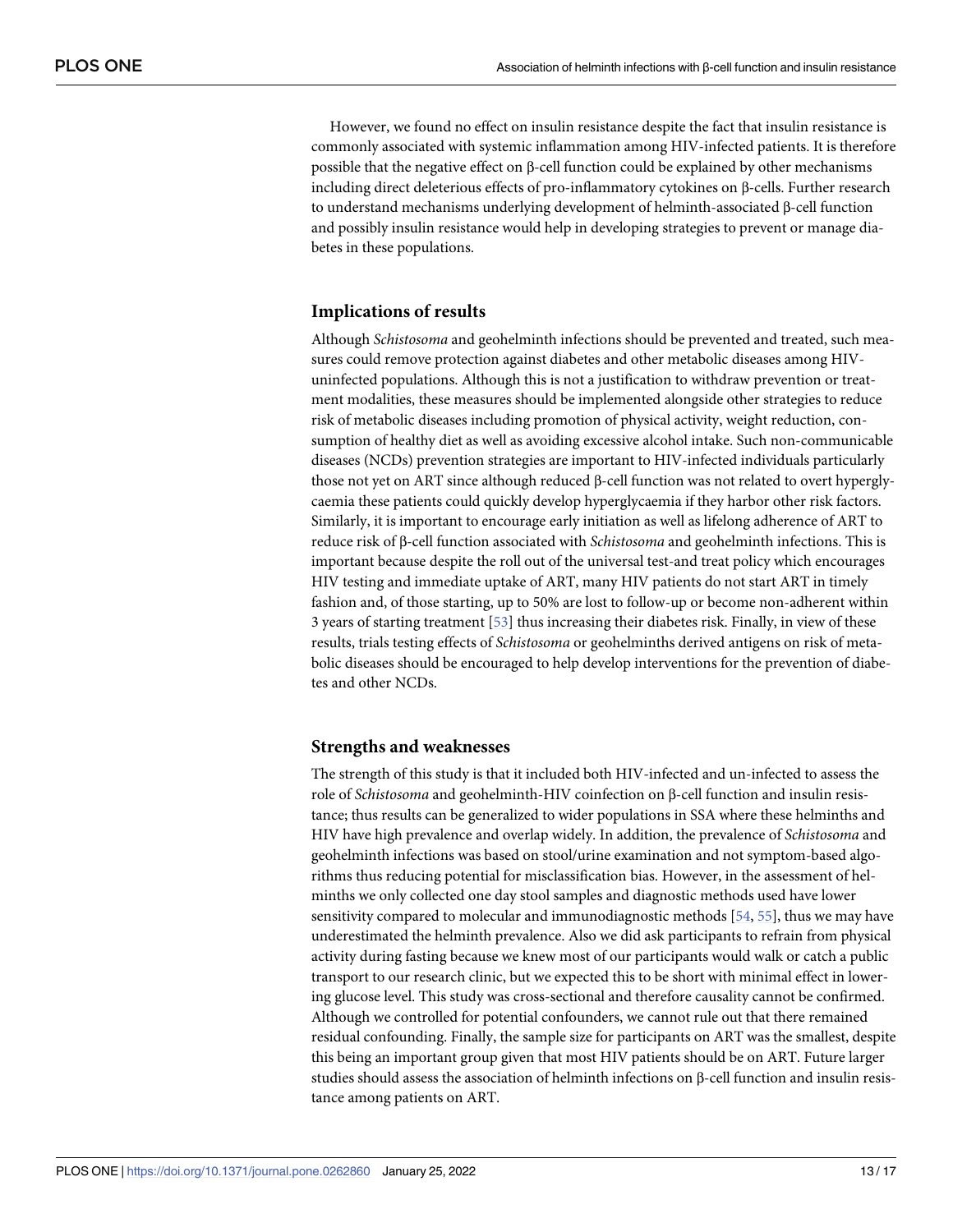<span id="page-12-0"></span>However, we found no effect on insulin resistance despite the fact that insulin resistance is commonly associated with systemic inflammation among HIV-infected patients. It is therefore possible that the negative effect on β-cell function could be explained by other mechanisms including direct deleterious effects of pro-inflammatory cytokines on β-cells. Further research to understand mechanisms underlying development of helminth-associated β-cell function and possibly insulin resistance would help in developing strategies to prevent or manage diabetes in these populations.

# **Implications of results**

Although *Schistosoma* and geohelminth infections should be prevented and treated, such measures could remove protection against diabetes and other metabolic diseases among HIVuninfected populations. Although this is not a justification to withdraw prevention or treatment modalities, these measures should be implemented alongside other strategies to reduce risk of metabolic diseases including promotion of physical activity, weight reduction, consumption of healthy diet as well as avoiding excessive alcohol intake. Such non-communicable diseases (NCDs) prevention strategies are important to HIV-infected individuals particularly those not yet on ART since although reduced β-cell function was not related to overt hyperglycaemia these patients could quickly develop hyperglycaemia if they harbor other risk factors. Similarly, it is important to encourage early initiation as well as lifelong adherence of ART to reduce risk of β-cell function associated with *Schistosoma* and geohelminth infections. This is important because despite the roll out of the universal test-and treat policy which encourages HIV testing and immediate uptake of ART, many HIV patients do not start ART in timely fashion and, of those starting, up to 50% are lost to follow-up or become non-adherent within 3 years of starting treatment [\[53\]](#page-16-0) thus increasing their diabetes risk. Finally, in view of these results, trials testing effects of *Schistosoma* or geohelminths derived antigens on risk of metabolic diseases should be encouraged to help develop interventions for the prevention of diabetes and other NCDs.

#### **Strengths and weaknesses**

The strength of this study is that it included both HIV-infected and un-infected to assess the role of *Schistosoma* and geohelminth-HIV coinfection on β-cell function and insulin resistance; thus results can be generalized to wider populations in SSA where these helminths and HIV have high prevalence and overlap widely. In addition, the prevalence of *Schistosoma* and geohelminth infections was based on stool/urine examination and not symptom-based algorithms thus reducing potential for misclassification bias. However, in the assessment of helminths we only collected one day stool samples and diagnostic methods used have lower sensitivity compared to molecular and immunodiagnostic methods [[54](#page-16-0), [55](#page-16-0)], thus we may have underestimated the helminth prevalence. Also we did ask participants to refrain from physical activity during fasting because we knew most of our participants would walk or catch a public transport to our research clinic, but we expected this to be short with minimal effect in lowering glucose level. This study was cross-sectional and therefore causality cannot be confirmed. Although we controlled for potential confounders, we cannot rule out that there remained residual confounding. Finally, the sample size for participants on ART was the smallest, despite this being an important group given that most HIV patients should be on ART. Future larger studies should assess the association of helminth infections on β-cell function and insulin resistance among patients on ART.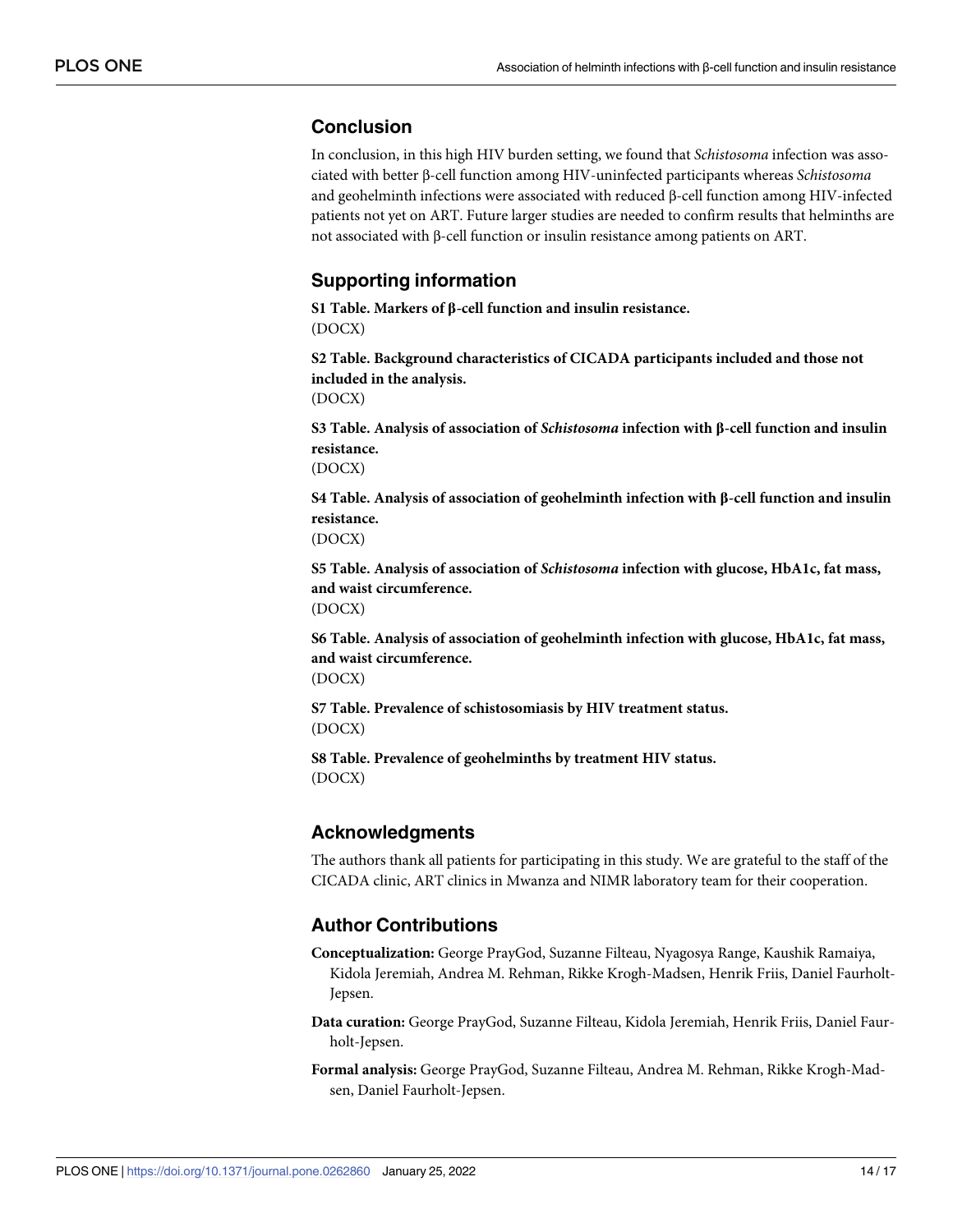# <span id="page-13-0"></span>**Conclusion**

In conclusion, in this high HIV burden setting, we found that *Schistosoma* infection was associated with better β-cell function among HIV-uninfected participants whereas *Schistosoma* and geohelminth infections were associated with reduced β-cell function among HIV-infected patients not yet on ART. Future larger studies are needed to confirm results that helminths are not associated with β-cell function or insulin resistance among patients on ART.

# **Supporting information**

**S1 [Table.](http://www.plosone.org/article/fetchSingleRepresentation.action?uri=info:doi/10.1371/journal.pone.0262860.s001) Markers of β-cell function and insulin resistance.** (DOCX)

**S2 [Table.](http://www.plosone.org/article/fetchSingleRepresentation.action?uri=info:doi/10.1371/journal.pone.0262860.s002) Background characteristics of CICADA participants included and those not included in the analysis.** (DOCX)

**S3 [Table.](http://www.plosone.org/article/fetchSingleRepresentation.action?uri=info:doi/10.1371/journal.pone.0262860.s003) Analysis of association of** *Schistosoma* **infection with β-cell function and insulin resistance.**

(DOCX)

**S4 [Table.](http://www.plosone.org/article/fetchSingleRepresentation.action?uri=info:doi/10.1371/journal.pone.0262860.s004) Analysis of association of geohelminth infection with β-cell function and insulin resistance.**

(DOCX)

**S5 [Table.](http://www.plosone.org/article/fetchSingleRepresentation.action?uri=info:doi/10.1371/journal.pone.0262860.s005) Analysis of association of** *Schistosoma* **infection with glucose, HbA1c, fat mass, and waist circumference.** (DOCX)

**S6 [Table.](http://www.plosone.org/article/fetchSingleRepresentation.action?uri=info:doi/10.1371/journal.pone.0262860.s006) Analysis of association of geohelminth infection with glucose, HbA1c, fat mass, and waist circumference.**

(DOCX)

**S7 [Table.](http://www.plosone.org/article/fetchSingleRepresentation.action?uri=info:doi/10.1371/journal.pone.0262860.s007) Prevalence of schistosomiasis by HIV treatment status.** (DOCX)

**S8 [Table.](http://www.plosone.org/article/fetchSingleRepresentation.action?uri=info:doi/10.1371/journal.pone.0262860.s008) Prevalence of geohelminths by treatment HIV status.** (DOCX)

# **Acknowledgments**

The authors thank all patients for participating in this study. We are grateful to the staff of the CICADA clinic, ART clinics in Mwanza and NIMR laboratory team for their cooperation.

# **Author Contributions**

- **Conceptualization:** George PrayGod, Suzanne Filteau, Nyagosya Range, Kaushik Ramaiya, Kidola Jeremiah, Andrea M. Rehman, Rikke Krogh-Madsen, Henrik Friis, Daniel Faurholt-Jepsen.
- **Data curation:** George PrayGod, Suzanne Filteau, Kidola Jeremiah, Henrik Friis, Daniel Faurholt-Jepsen.
- **Formal analysis:** George PrayGod, Suzanne Filteau, Andrea M. Rehman, Rikke Krogh-Madsen, Daniel Faurholt-Jepsen.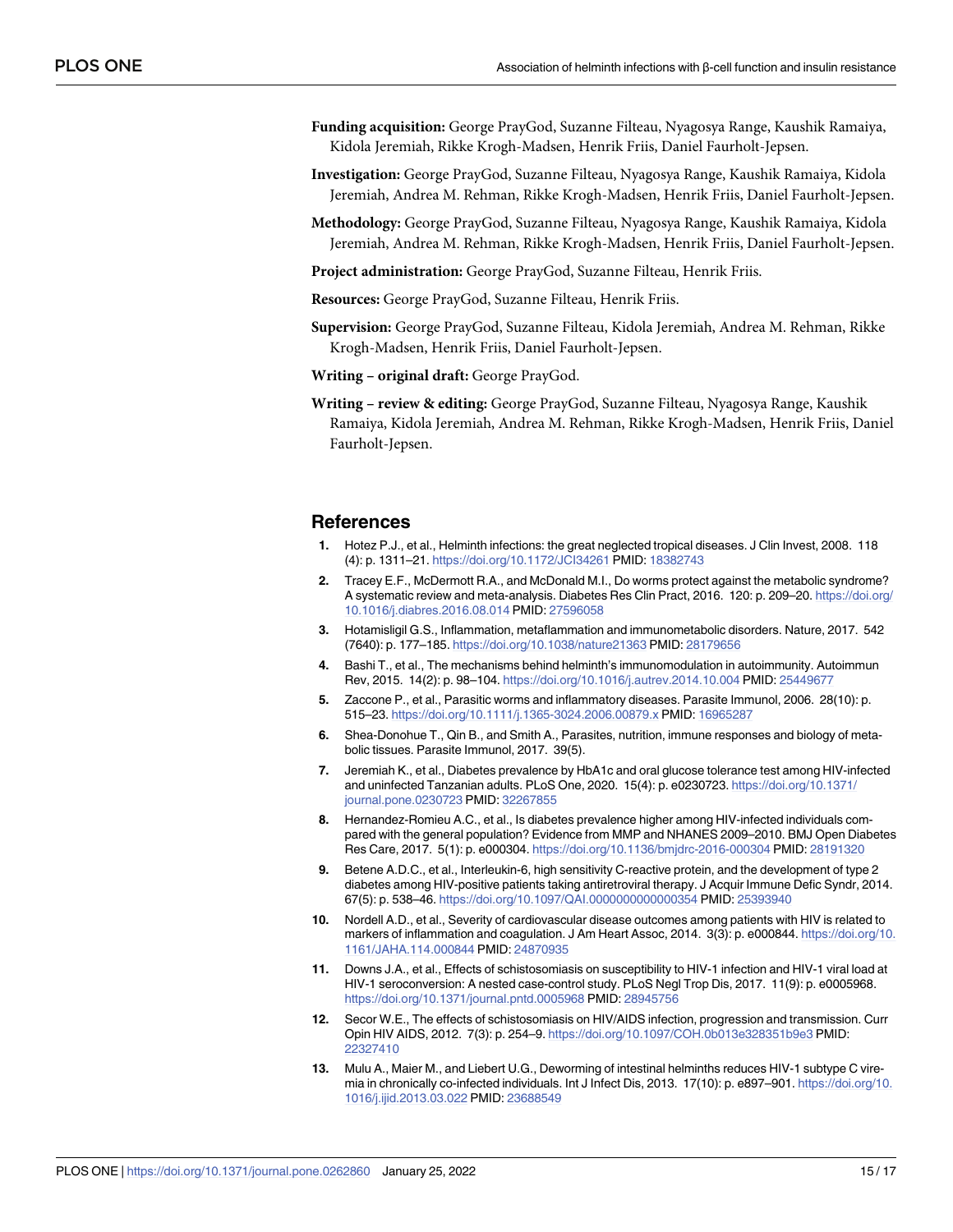- <span id="page-14-0"></span>**Funding acquisition:** George PrayGod, Suzanne Filteau, Nyagosya Range, Kaushik Ramaiya, Kidola Jeremiah, Rikke Krogh-Madsen, Henrik Friis, Daniel Faurholt-Jepsen.
- **Investigation:** George PrayGod, Suzanne Filteau, Nyagosya Range, Kaushik Ramaiya, Kidola Jeremiah, Andrea M. Rehman, Rikke Krogh-Madsen, Henrik Friis, Daniel Faurholt-Jepsen.
- **Methodology:** George PrayGod, Suzanne Filteau, Nyagosya Range, Kaushik Ramaiya, Kidola Jeremiah, Andrea M. Rehman, Rikke Krogh-Madsen, Henrik Friis, Daniel Faurholt-Jepsen.
- **Project administration:** George PrayGod, Suzanne Filteau, Henrik Friis.
- **Resources:** George PrayGod, Suzanne Filteau, Henrik Friis.
- **Supervision:** George PrayGod, Suzanne Filteau, Kidola Jeremiah, Andrea M. Rehman, Rikke Krogh-Madsen, Henrik Friis, Daniel Faurholt-Jepsen.
- **Writing – original draft:** George PrayGod.
- **Writing – review & editing:** George PrayGod, Suzanne Filteau, Nyagosya Range, Kaushik Ramaiya, Kidola Jeremiah, Andrea M. Rehman, Rikke Krogh-Madsen, Henrik Friis, Daniel Faurholt-Jepsen.

#### **References**

- **[1](#page-1-0).** Hotez P.J., et al., Helminth infections: the great neglected tropical diseases. J Clin Invest, 2008. 118 (4): p. 1311–21. <https://doi.org/10.1172/JCI34261> PMID: [18382743](http://www.ncbi.nlm.nih.gov/pubmed/18382743)
- **[2](#page-1-0).** Tracey E.F., McDermott R.A., and McDonald M.I., Do worms protect against the metabolic syndrome? A systematic review and meta-analysis. Diabetes Res Clin Pract, 2016. 120: p. 209–20. [https://doi.org/](https://doi.org/10.1016/j.diabres.2016.08.014) [10.1016/j.diabres.2016.08.014](https://doi.org/10.1016/j.diabres.2016.08.014) PMID: [27596058](http://www.ncbi.nlm.nih.gov/pubmed/27596058)
- **[3](#page-1-0).** Hotamisligil G.S., Inflammation, metaflammation and immunometabolic disorders. Nature, 2017. 542 (7640): p. 177–185. <https://doi.org/10.1038/nature21363> PMID: [28179656](http://www.ncbi.nlm.nih.gov/pubmed/28179656)
- **[4](#page-8-0).** Bashi T., et al., The mechanisms behind helminth's immunomodulation in autoimmunity. Autoimmun Rev, 2015. 14(2): p. 98–104. <https://doi.org/10.1016/j.autrev.2014.10.004> PMID: [25449677](http://www.ncbi.nlm.nih.gov/pubmed/25449677)
- **[5](#page-8-0).** Zaccone P., et al., Parasitic worms and inflammatory diseases. Parasite Immunol, 2006. 28(10): p. 515–23. <https://doi.org/10.1111/j.1365-3024.2006.00879.x> PMID: [16965287](http://www.ncbi.nlm.nih.gov/pubmed/16965287)
- **[6](#page-1-0).** Shea-Donohue T., Qin B., and Smith A., Parasites, nutrition, immune responses and biology of metabolic tissues. Parasite Immunol, 2017. 39(5).
- **[7](#page-2-0).** Jeremiah K., et al., Diabetes prevalence by HbA1c and oral glucose tolerance test among HIV-infected and uninfected Tanzanian adults. PLoS One, 2020. 15(4): p. e0230723. [https://doi.org/10.1371/](https://doi.org/10.1371/journal.pone.0230723) [journal.pone.0230723](https://doi.org/10.1371/journal.pone.0230723) PMID: [32267855](http://www.ncbi.nlm.nih.gov/pubmed/32267855)
- **[8](#page-1-0).** Hernandez-Romieu A.C., et al., Is diabetes prevalence higher among HIV-infected individuals compared with the general population? Evidence from MMP and NHANES 2009–2010. BMJ Open Diabetes Res Care, 2017. 5(1): p. e000304. <https://doi.org/10.1136/bmjdrc-2016-000304> PMID: [28191320](http://www.ncbi.nlm.nih.gov/pubmed/28191320)
- **[9](#page-1-0).** Betene A.D.C., et al., Interleukin-6, high sensitivity C-reactive protein, and the development of type 2 diabetes among HIV-positive patients taking antiretroviral therapy. J Acquir Immune Defic Syndr, 2014. 67(5): p. 538–46. <https://doi.org/10.1097/QAI.0000000000000354> PMID: [25393940](http://www.ncbi.nlm.nih.gov/pubmed/25393940)
- **[10](#page-1-0).** Nordell A.D., et al., Severity of cardiovascular disease outcomes among patients with HIV is related to markers of inflammation and coagulation. J Am Heart Assoc, 2014. 3(3): p. e000844. [https://doi.org/10.](https://doi.org/10.1161/JAHA.114.000844) [1161/JAHA.114.000844](https://doi.org/10.1161/JAHA.114.000844) PMID: [24870935](http://www.ncbi.nlm.nih.gov/pubmed/24870935)
- **[11](#page-1-0).** Downs J.A., et al., Effects of schistosomiasis on susceptibility to HIV-1 infection and HIV-1 viral load at HIV-1 seroconversion: A nested case-control study. PLoS Negl Trop Dis, 2017. 11(9): p. e0005968. <https://doi.org/10.1371/journal.pntd.0005968> PMID: [28945756](http://www.ncbi.nlm.nih.gov/pubmed/28945756)
- **12.** Secor W.E., The effects of schistosomiasis on HIV/AIDS infection, progression and transmission. Curr Opin HIV AIDS, 2012. 7(3): p. 254–9. <https://doi.org/10.1097/COH.0b013e328351b9e3> PMID: [22327410](http://www.ncbi.nlm.nih.gov/pubmed/22327410)
- **13.** Mulu A., Maier M., and Liebert U.G., Deworming of intestinal helminths reduces HIV-1 subtype C viremia in chronically co-infected individuals. Int J Infect Dis, 2013. 17(10): p. e897–901. [https://doi.org/10.](https://doi.org/10.1016/j.ijid.2013.03.022) [1016/j.ijid.2013.03.022](https://doi.org/10.1016/j.ijid.2013.03.022) PMID: [23688549](http://www.ncbi.nlm.nih.gov/pubmed/23688549)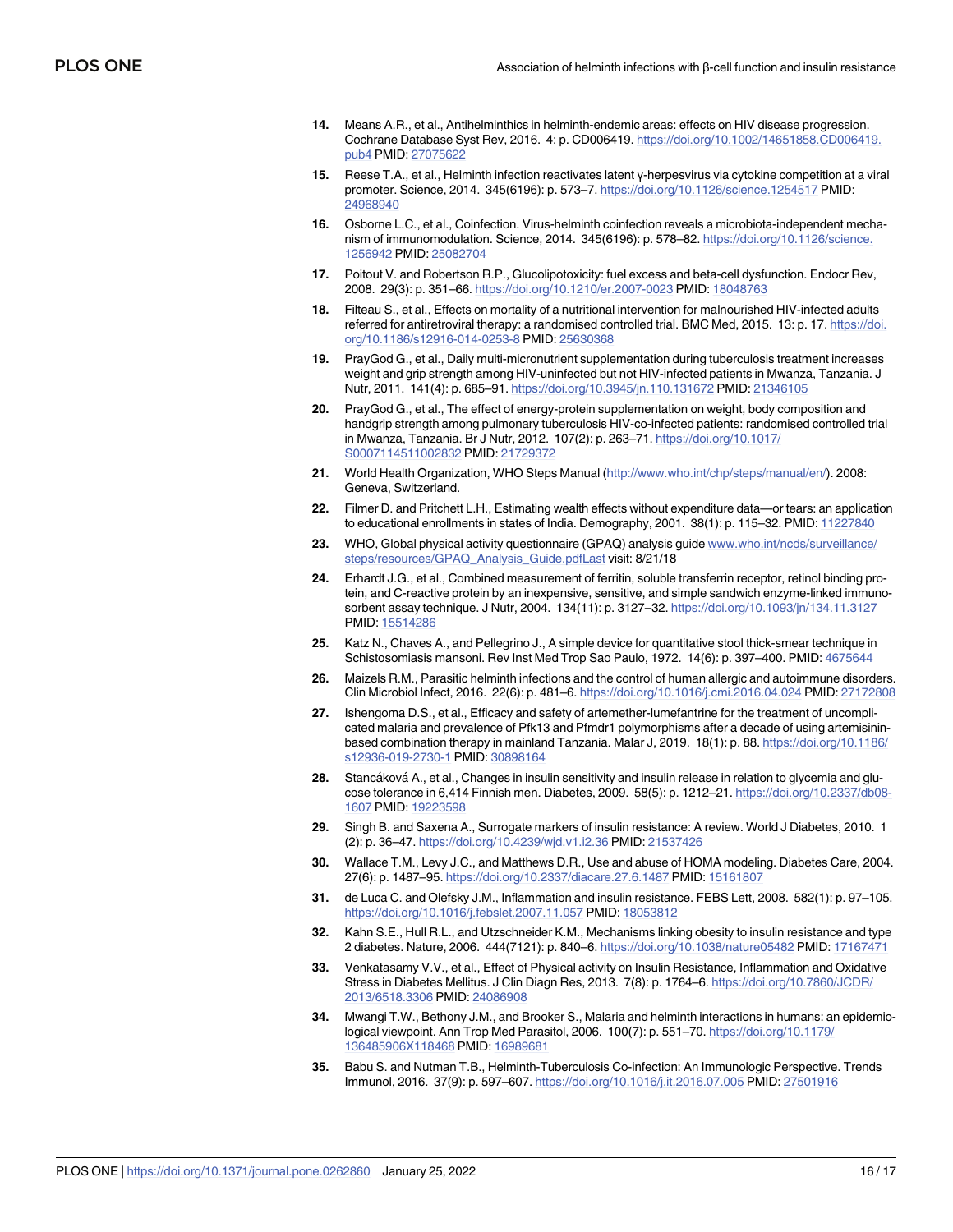- <span id="page-15-0"></span>**[14](#page-1-0).** Means A.R., et al., Antihelminthics in helminth-endemic areas: effects on HIV disease progression. Cochrane Database Syst Rev, 2016. 4: p. CD006419. [https://doi.org/10.1002/14651858.CD006419.](https://doi.org/10.1002/14651858.CD006419.pub4) [pub4](https://doi.org/10.1002/14651858.CD006419.pub4) PMID: [27075622](http://www.ncbi.nlm.nih.gov/pubmed/27075622)
- **[15](#page-1-0).** Reese T.A., et al., Helminth infection reactivates latent γ-herpesvirus via cytokine competition at a viral promoter. Science, 2014. 345(6196): p. 573–7. <https://doi.org/10.1126/science.1254517> PMID: [24968940](http://www.ncbi.nlm.nih.gov/pubmed/24968940)
- **[16](#page-1-0).** Osborne L.C., et al., Coinfection. Virus-helminth coinfection reveals a microbiota-independent mechanism of immunomodulation. Science, 2014. 345(6196): p. 578–82. [https://doi.org/10.1126/science.](https://doi.org/10.1126/science.1256942) [1256942](https://doi.org/10.1126/science.1256942) PMID: [25082704](http://www.ncbi.nlm.nih.gov/pubmed/25082704)
- **[17](#page-11-0).** Poitout V. and Robertson R.P., Glucolipotoxicity: fuel excess and beta-cell dysfunction. Endocr Rev, 2008. 29(3): p. 351–66. <https://doi.org/10.1210/er.2007-0023> PMID: [18048763](http://www.ncbi.nlm.nih.gov/pubmed/18048763)
- **[18](#page-2-0).** Filteau S., et al., Effects on mortality of a nutritional intervention for malnourished HIV-infected adults referred for antiretroviral therapy: a randomised controlled trial. BMC Med, 2015. 13: p. 17. [https://doi.](https://doi.org/10.1186/s12916-014-0253-8) [org/10.1186/s12916-014-0253-8](https://doi.org/10.1186/s12916-014-0253-8) PMID: [25630368](http://www.ncbi.nlm.nih.gov/pubmed/25630368)
- **[19](#page-2-0).** PrayGod G., et al., Daily multi-micronutrient supplementation during tuberculosis treatment increases weight and grip strength among HIV-uninfected but not HIV-infected patients in Mwanza, Tanzania. J Nutr, 2011. 141(4): p. 685–91. <https://doi.org/10.3945/jn.110.131672> PMID: [21346105](http://www.ncbi.nlm.nih.gov/pubmed/21346105)
- **[20](#page-2-0).** PrayGod G., et al., The effect of energy-protein supplementation on weight, body composition and handgrip strength among pulmonary tuberculosis HIV-co-infected patients: randomised controlled trial in Mwanza, Tanzania. Br J Nutr, 2012. 107(2): p. 263–71. [https://doi.org/10.1017/](https://doi.org/10.1017/S0007114511002832) [S0007114511002832](https://doi.org/10.1017/S0007114511002832) PMID: [21729372](http://www.ncbi.nlm.nih.gov/pubmed/21729372)
- **[21](#page-2-0).** World Health Organization, WHO Steps Manual [\(http://www.who.int/chp/steps/manual/en/\)](http://www.who.int/chp/steps/manual/en/). 2008: Geneva, Switzerland.
- **[22](#page-2-0).** Filmer D. and Pritchett L.H., Estimating wealth effects without expenditure data—or tears: an application to educational enrollments in states of India. Demography, 2001. 38(1): p. 115–32. PMID: [11227840](http://www.ncbi.nlm.nih.gov/pubmed/11227840)
- **[23](#page-2-0).** WHO, Global physical activity questionnaire (GPAQ) analysis guide [www.who.int/ncds/surveillance/](http://www.who.int/ncds/surveillance/steps/resources/GPAQ_Analysis_Guide.pdfLast) [steps/resources/GPAQ\\_Analysis\\_Guide.pdfLast](http://www.who.int/ncds/surveillance/steps/resources/GPAQ_Analysis_Guide.pdfLast) visit: 8/21/18
- **[24](#page-3-0).** Erhardt J.G., et al., Combined measurement of ferritin, soluble transferrin receptor, retinol binding protein, and C-reactive protein by an inexpensive, sensitive, and simple sandwich enzyme-linked immunosorbent assay technique. J Nutr, 2004. 134(11): p. 3127–32. <https://doi.org/10.1093/jn/134.11.3127> PMID: [15514286](http://www.ncbi.nlm.nih.gov/pubmed/15514286)
- **[25](#page-3-0).** Katz N., Chaves A., and Pellegrino J., A simple device for quantitative stool thick-smear technique in Schistosomiasis mansoni. Rev Inst Med Trop Sao Paulo, 1972. 14(6): p. 397–400. PMID: [4675644](http://www.ncbi.nlm.nih.gov/pubmed/4675644)
- **[26](#page-10-0).** Maizels R.M., Parasitic helminth infections and the control of human allergic and autoimmune disorders. Clin Microbiol Infect, 2016. 22(6): p. 481–6. <https://doi.org/10.1016/j.cmi.2016.04.024> PMID: [27172808](http://www.ncbi.nlm.nih.gov/pubmed/27172808)
- **[27](#page-3-0).** Ishengoma D.S., et al., Efficacy and safety of artemether-lumefantrine for the treatment of uncomplicated malaria and prevalence of Pfk13 and Pfmdr1 polymorphisms after a decade of using artemisininbased combination therapy in mainland Tanzania. Malar J, 2019. 18(1): p. 88. [https://doi.org/10.1186/](https://doi.org/10.1186/s12936-019-2730-1) [s12936-019-2730-1](https://doi.org/10.1186/s12936-019-2730-1) PMID: [30898164](http://www.ncbi.nlm.nih.gov/pubmed/30898164)
- **[28](#page-3-0).** Stancáková A., et al., Changes in insulin sensitivity and insulin release in relation to glycemia and glucose tolerance in 6,414 Finnish men. Diabetes, 2009. 58(5): p. 1212–21. [https://doi.org/10.2337/db08-](https://doi.org/10.2337/db08-1607) [1607](https://doi.org/10.2337/db08-1607) PMID: [19223598](http://www.ncbi.nlm.nih.gov/pubmed/19223598)
- **29.** Singh B. and Saxena A., Surrogate markers of insulin resistance: A review. World J Diabetes, 2010. 1 (2): p. 36–47. <https://doi.org/10.4239/wjd.v1.i2.36> PMID: [21537426](http://www.ncbi.nlm.nih.gov/pubmed/21537426)
- **[30](#page-3-0).** Wallace T.M., Levy J.C., and Matthews D.R., Use and abuse of HOMA modeling. Diabetes Care, 2004. 27(6): p. 1487–95. <https://doi.org/10.2337/diacare.27.6.1487> PMID: [15161807](http://www.ncbi.nlm.nih.gov/pubmed/15161807)
- **[31](#page-4-0).** de Luca C. and Olefsky J.M., Inflammation and insulin resistance. FEBS Lett, 2008. 582(1): p. 97–105. <https://doi.org/10.1016/j.febslet.2007.11.057> PMID: [18053812](http://www.ncbi.nlm.nih.gov/pubmed/18053812)
- **32.** Kahn S.E., Hull R.L., and Utzschneider K.M., Mechanisms linking obesity to insulin resistance and type 2 diabetes. Nature, 2006. 444(7121): p. 840–6. <https://doi.org/10.1038/nature05482> PMID: [17167471](http://www.ncbi.nlm.nih.gov/pubmed/17167471)
- **[33](#page-4-0).** Venkatasamy V.V., et al., Effect of Physical activity on Insulin Resistance, Inflammation and Oxidative Stress in Diabetes Mellitus. J Clin Diagn Res, 2013. 7(8): p. 1764–6. [https://doi.org/10.7860/JCDR/](https://doi.org/10.7860/JCDR/2013/6518.3306) [2013/6518.3306](https://doi.org/10.7860/JCDR/2013/6518.3306) PMID: [24086908](http://www.ncbi.nlm.nih.gov/pubmed/24086908)
- **[34](#page-4-0).** Mwangi T.W., Bethony J.M., and Brooker S., Malaria and helminth interactions in humans: an epidemiological viewpoint. Ann Trop Med Parasitol, 2006. 100(7): p. 551–70. [https://doi.org/10.1179/](https://doi.org/10.1179/136485906X118468) [136485906X118468](https://doi.org/10.1179/136485906X118468) PMID: [16989681](http://www.ncbi.nlm.nih.gov/pubmed/16989681)
- **[35](#page-4-0).** Babu S. and Nutman T.B., Helminth-Tuberculosis Co-infection: An Immunologic Perspective. Trends Immunol, 2016. 37(9): p. 597–607. <https://doi.org/10.1016/j.it.2016.07.005> PMID: [27501916](http://www.ncbi.nlm.nih.gov/pubmed/27501916)